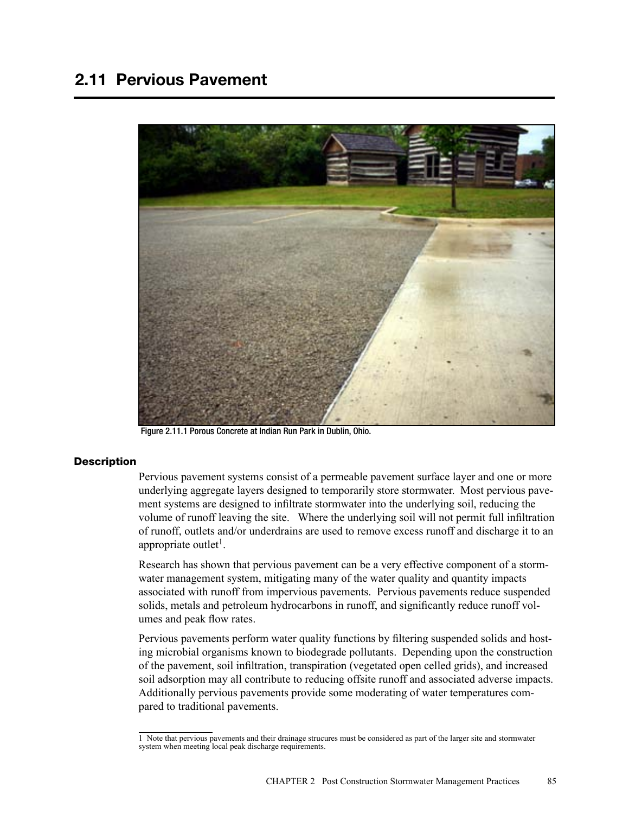# 2.11 Pervious Pavement



Figure 2.11.1 Porous Concrete at Indian Run Park in Dublin, Ohio.

### **Description**

Pervious pavement systems consist of a permeable pavement surface layer and one or more underlying aggregate layers designed to temporarily store stormwater. Most pervious pavement systems are designed to infiltrate stormwater into the underlying soil, reducing the volume of runoff leaving the site. Where the underlying soil will not permit full infiltration of runoff, outlets and/or underdrains are used to remove excess runoff and discharge it to an appropriate outlet<sup>1</sup>.

Research has shown that pervious pavement can be a very effective component of a stormwater management system, mitigating many of the water quality and quantity impacts associated with runoff from impervious pavements. Pervious pavements reduce suspended solids, metals and petroleum hydrocarbons in runoff, and significantly reduce runoff volumes and peak flow rates.

Pervious pavements perform water quality functions by filtering suspended solids and hosting microbial organisms known to biodegrade pollutants. Depending upon the construction of the pavement, soil infiltration, transpiration (vegetated open celled grids), and increased soil adsorption may all contribute to reducing offsite runoff and associated adverse impacts. Additionally pervious pavements provide some moderating of water temperatures compared to traditional pavements.

<sup>1</sup> Note that pervious pavements and their drainage strucures must be considered as part of the larger site and stormwater system when meeting local peak discharge requirements.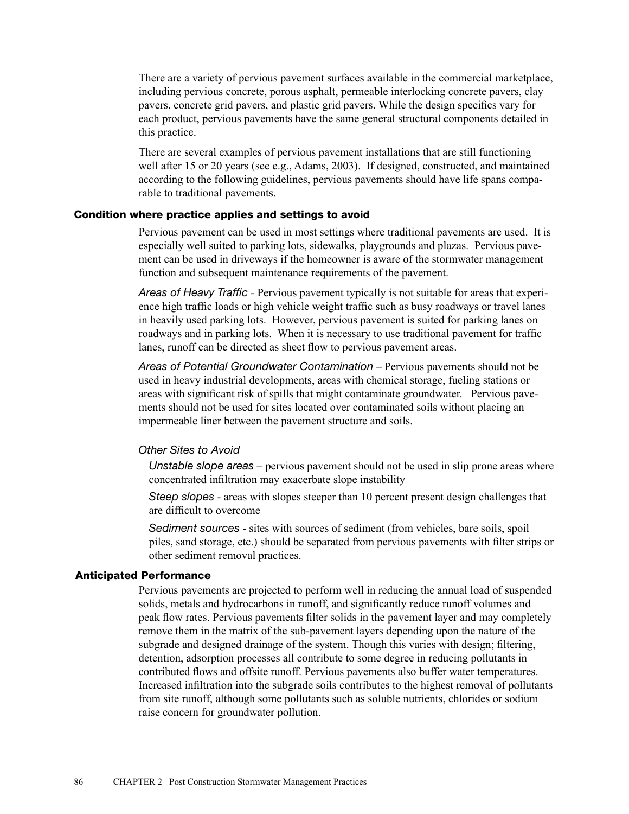There are a variety of pervious pavement surfaces available in the commercial marketplace, including pervious concrete, porous asphalt, permeable interlocking concrete pavers, clay pavers, concrete grid pavers, and plastic grid pavers. While the design specifics vary for each product, pervious pavements have the same general structural components detailed in this practice.

There are several examples of pervious pavement installations that are still functioning well after 15 or 20 years (see e.g., Adams, 2003). If designed, constructed, and maintained according to the following guidelines, pervious pavements should have life spans comparable to traditional pavements.

### Condition where practice applies and settings to avoid

Pervious pavement can be used in most settings where traditional pavements are used. It is especially well suited to parking lots, sidewalks, playgrounds and plazas. Pervious pavement can be used in driveways if the homeowner is aware of the stormwater management function and subsequent maintenance requirements of the pavement.

*Areas of Heavy Traffic* - Pervious pavement typically is not suitable for areas that experience high traffic loads or high vehicle weight traffic such as busy roadways or travel lanes in heavily used parking lots. However, pervious pavement is suited for parking lanes on roadways and in parking lots. When it is necessary to use traditional pavement for traffic lanes, runoff can be directed as sheet flow to pervious pavement areas.

*Areas of Potential Groundwater Contamination* – Pervious pavements should not be used in heavy industrial developments, areas with chemical storage, fueling stations or areas with significant risk of spills that might contaminate groundwater. Pervious pavements should not be used for sites located over contaminated soils without placing an impermeable liner between the pavement structure and soils.

#### *Other Sites to Avoid*

*Unstable slope areas* – pervious pavement should not be used in slip prone areas where concentrated infiltration may exacerbate slope instability

*Steep slopes* - areas with slopes steeper than 10 percent present design challenges that are difficult to overcome

*Sediment sources* - sites with sources of sediment (from vehicles, bare soils, spoil piles, sand storage, etc.) should be separated from pervious pavements with filter strips or other sediment removal practices.

# Anticipated Performance

Pervious pavements are projected to perform well in reducing the annual load of suspended solids, metals and hydrocarbons in runoff, and significantly reduce runoff volumes and peak flow rates. Pervious pavements filter solids in the pavement layer and may completely remove them in the matrix of the sub-pavement layers depending upon the nature of the subgrade and designed drainage of the system. Though this varies with design; filtering, detention, adsorption processes all contribute to some degree in reducing pollutants in contributed flows and offsite runoff. Pervious pavements also buffer water temperatures. Increased infiltration into the subgrade soils contributes to the highest removal of pollutants from site runoff, although some pollutants such as soluble nutrients, chlorides or sodium raise concern for groundwater pollution.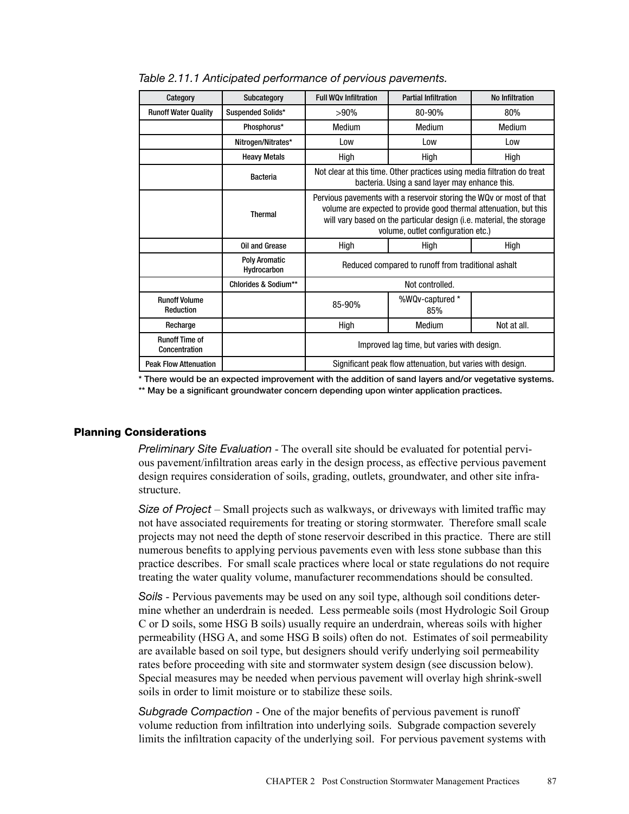| Category                               | Subcategory                         | <b>Full WOv Infiltration</b>                                                                                                                                                                                                                           | <b>Partial Infiltration</b> | No Infiltration |
|----------------------------------------|-------------------------------------|--------------------------------------------------------------------------------------------------------------------------------------------------------------------------------------------------------------------------------------------------------|-----------------------------|-----------------|
| <b>Runoff Water Quality</b>            | Suspended Solids*                   | $>90\%$                                                                                                                                                                                                                                                | 80-90%                      | 80%             |
|                                        | Phosphorus*                         | Medium                                                                                                                                                                                                                                                 | Medium                      | Medium          |
|                                        | Nitrogen/Nitrates*                  | Low                                                                                                                                                                                                                                                    | Low                         | Low             |
|                                        | <b>Heavy Metals</b>                 | High                                                                                                                                                                                                                                                   | High                        | High            |
|                                        | <b>Bacteria</b>                     | Not clear at this time. Other practices using media filtration do treat<br>bacteria. Using a sand layer may enhance this.                                                                                                                              |                             |                 |
|                                        | <b>Thermal</b>                      | Pervious pavements with a reservoir storing the WQv or most of that<br>volume are expected to provide good thermal attenuation, but this<br>will vary based on the particular design (i.e. material, the storage<br>volume, outlet configuration etc.) |                             |                 |
|                                        | <b>Oil and Grease</b>               | High                                                                                                                                                                                                                                                   | High                        | High            |
|                                        | <b>Poly Aromatic</b><br>Hydrocarbon | Reduced compared to runoff from traditional ashalt                                                                                                                                                                                                     |                             |                 |
|                                        | Chlorides & Sodium**                | Not controlled.                                                                                                                                                                                                                                        |                             |                 |
| <b>Runoff Volume</b><br>Reduction      |                                     | 85-90%                                                                                                                                                                                                                                                 | %WQv-captured *<br>85%      |                 |
| Recharge                               |                                     | High                                                                                                                                                                                                                                                   | Medium                      | Not at all.     |
| <b>Runoff Time of</b><br>Concentration |                                     | Improved lag time, but varies with design.                                                                                                                                                                                                             |                             |                 |
| <b>Peak Flow Attenuation</b>           |                                     | Significant peak flow attenuation, but varies with design.                                                                                                                                                                                             |                             |                 |

*Table 2.11.1 Anticipated performance of pervious pavements.*

\* There would be an expected improvement with the addition of sand layers and/or vegetative systems.

\*\* May be a significant groundwater concern depending upon winter application practices.

# Planning Considerations

*Preliminary Site Evaluation* - The overall site should be evaluated for potential pervious pavement/infiltration areas early in the design process, as effective pervious pavement design requires consideration of soils, grading, outlets, groundwater, and other site infrastructure.

*Size of Project* – Small projects such as walkways, or driveways with limited traffic may not have associated requirements for treating or storing stormwater. Therefore small scale projects may not need the depth of stone reservoir described in this practice. There are still numerous benefits to applying pervious pavements even with less stone subbase than this practice describes. For small scale practices where local or state regulations do not require treating the water quality volume, manufacturer recommendations should be consulted.

*Soils* - Pervious pavements may be used on any soil type, although soil conditions determine whether an underdrain is needed. Less permeable soils (most Hydrologic Soil Group C or D soils, some HSG B soils) usually require an underdrain, whereas soils with higher permeability (HSG A, and some HSG B soils) often do not. Estimates of soil permeability are available based on soil type, but designers should verify underlying soil permeability rates before proceeding with site and stormwater system design (see discussion below). Special measures may be needed when pervious pavement will overlay high shrink-swell soils in order to limit moisture or to stabilize these soils.

*Subgrade Compaction* - One of the major benefits of pervious pavement is runoff volume reduction from infiltration into underlying soils. Subgrade compaction severely limits the infiltration capacity of the underlying soil. For pervious pavement systems with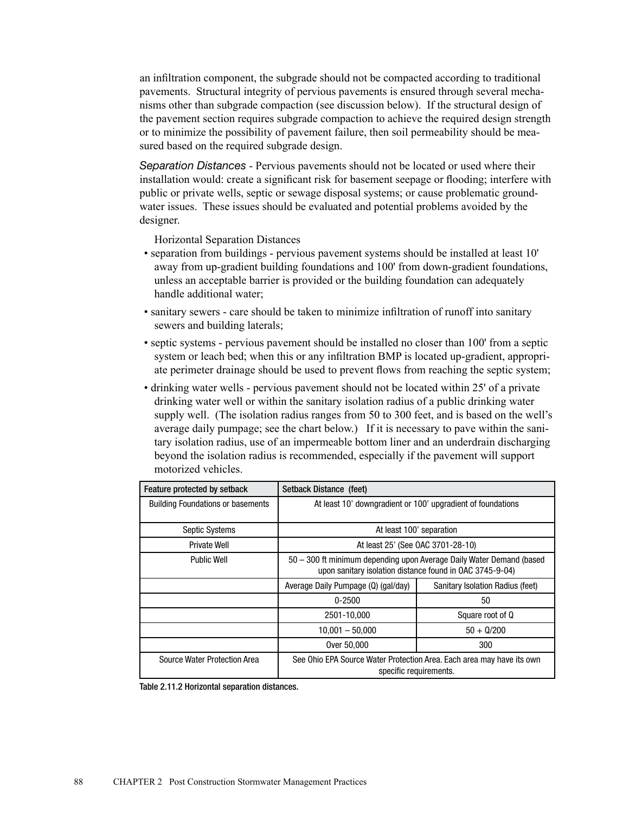an infiltration component, the subgrade should not be compacted according to traditional pavements. Structural integrity of pervious pavements is ensured through several mechanisms other than subgrade compaction (see discussion below). If the structural design of the pavement section requires subgrade compaction to achieve the required design strength or to minimize the possibility of pavement failure, then soil permeability should be measured based on the required subgrade design.

*Separation Distances* - Pervious pavements should not be located or used where their installation would: create a significant risk for basement seepage or flooding; interfere with public or private wells, septic or sewage disposal systems; or cause problematic groundwater issues. These issues should be evaluated and potential problems avoided by the designer.

Horizontal Separation Distances

- separation from buildings pervious pavement systems should be installed at least 10' away from up-gradient building foundations and 100' from down-gradient foundations, unless an acceptable barrier is provided or the building foundation can adequately handle additional water;
- sanitary sewers care should be taken to minimize infiltration of runoff into sanitary sewers and building laterals;
- septic systems pervious pavement should be installed no closer than 100' from a septic system or leach bed; when this or any infiltration BMP is located up-gradient, appropriate perimeter drainage should be used to prevent flows from reaching the septic system;
- drinking water wells pervious pavement should not be located within 25' of a private drinking water well or within the sanitary isolation radius of a public drinking water supply well. (The isolation radius ranges from 50 to 300 feet, and is based on the well's average daily pumpage; see the chart below.) If it is necessary to pave within the sanitary isolation radius, use of an impermeable bottom liner and an underdrain discharging beyond the isolation radius is recommended, especially if the pavement will support motorized vehicles.

| Feature protected by setback             | Setback Distance (feet)                                                                                                          |                                  |  |
|------------------------------------------|----------------------------------------------------------------------------------------------------------------------------------|----------------------------------|--|
| <b>Building Foundations or basements</b> | At least 10' downgradient or 100' upgradient of foundations                                                                      |                                  |  |
|                                          |                                                                                                                                  |                                  |  |
| <b>Septic Systems</b>                    | At least 100' separation                                                                                                         |                                  |  |
| <b>Private Well</b>                      | At least 25' (See OAC 3701-28-10)                                                                                                |                                  |  |
| <b>Public Well</b>                       | 50 - 300 ft minimum depending upon Average Daily Water Demand (based<br>upon sanitary isolation distance found in OAC 3745-9-04) |                                  |  |
|                                          | Average Daily Pumpage (Q) (gal/day)                                                                                              | Sanitary Isolation Radius (feet) |  |
|                                          | 0-2500                                                                                                                           | 50                               |  |
|                                          | 2501-10,000                                                                                                                      | Square root of Q                 |  |
|                                          | $10,001 - 50,000$                                                                                                                | $50 + 0/200$                     |  |
|                                          | Over 50,000                                                                                                                      | 300                              |  |
| Source Water Protection Area             | See Ohio EPA Source Water Protection Area. Each area may have its own<br>specific requirements.                                  |                                  |  |

| Table 2.11.2 Horizontal separation distances. |  |  |
|-----------------------------------------------|--|--|
|-----------------------------------------------|--|--|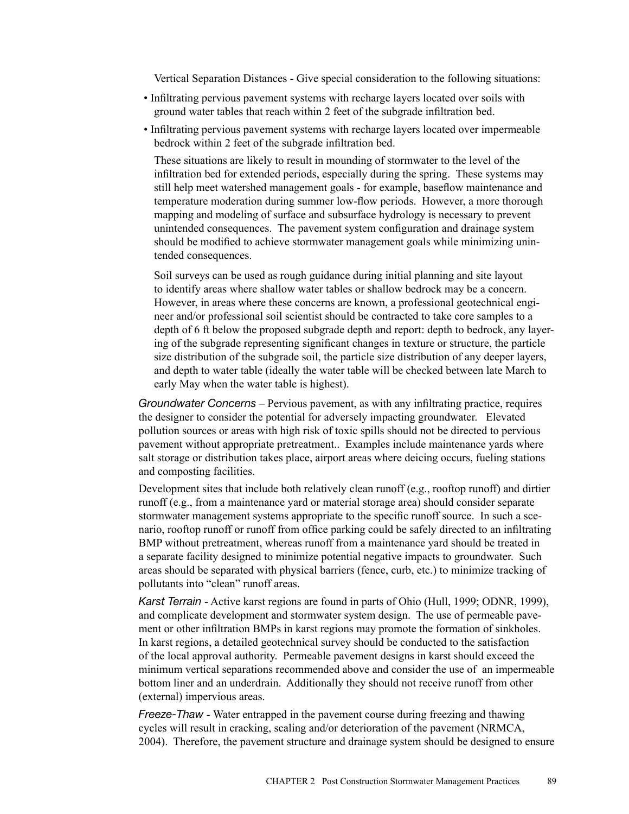Vertical Separation Distances - Give special consideration to the following situations:

- Infiltrating pervious pavement systems with recharge layers located over soils with ground water tables that reach within 2 feet of the subgrade infiltration bed.
- Infiltrating pervious pavement systems with recharge layers located over impermeable bedrock within 2 feet of the subgrade infiltration bed.

These situations are likely to result in mounding of stormwater to the level of the infiltration bed for extended periods, especially during the spring. These systems may still help meet watershed management goals - for example, baseflow maintenance and temperature moderation during summer low-flow periods. However, a more thorough mapping and modeling of surface and subsurface hydrology is necessary to prevent unintended consequences. The pavement system configuration and drainage system should be modified to achieve stormwater management goals while minimizing unintended consequences.

Soil surveys can be used as rough guidance during initial planning and site layout to identify areas where shallow water tables or shallow bedrock may be a concern. However, in areas where these concerns are known, a professional geotechnical engineer and/or professional soil scientist should be contracted to take core samples to a depth of 6 ft below the proposed subgrade depth and report: depth to bedrock, any layering of the subgrade representing significant changes in texture or structure, the particle size distribution of the subgrade soil, the particle size distribution of any deeper layers, and depth to water table (ideally the water table will be checked between late March to early May when the water table is highest).

*Groundwater Concerns* – Pervious pavement, as with any infiltrating practice, requires the designer to consider the potential for adversely impacting groundwater. Elevated pollution sources or areas with high risk of toxic spills should not be directed to pervious pavement without appropriate pretreatment.. Examples include maintenance yards where salt storage or distribution takes place, airport areas where deicing occurs, fueling stations and composting facilities.

Development sites that include both relatively clean runoff (e.g., rooftop runoff) and dirtier runoff (e.g., from a maintenance yard or material storage area) should consider separate stormwater management systems appropriate to the specific runoff source. In such a scenario, rooftop runoff or runoff from office parking could be safely directed to an infiltrating BMP without pretreatment, whereas runoff from a maintenance yard should be treated in a separate facility designed to minimize potential negative impacts to groundwater. Such areas should be separated with physical barriers (fence, curb, etc.) to minimize tracking of pollutants into "clean" runoff areas.

*Karst Terrain* - Active karst regions are found in parts of Ohio (Hull, 1999; ODNR, 1999), and complicate development and stormwater system design. The use of permeable pavement or other infiltration BMPs in karst regions may promote the formation of sinkholes. In karst regions, a detailed geotechnical survey should be conducted to the satisfaction of the local approval authority. Permeable pavement designs in karst should exceed the minimum vertical separations recommended above and consider the use of an impermeable bottom liner and an underdrain. Additionally they should not receive runoff from other (external) impervious areas.

*Freeze-Thaw* - Water entrapped in the pavement course during freezing and thawing cycles will result in cracking, scaling and/or deterioration of the pavement (NRMCA, 2004). Therefore, the pavement structure and drainage system should be designed to ensure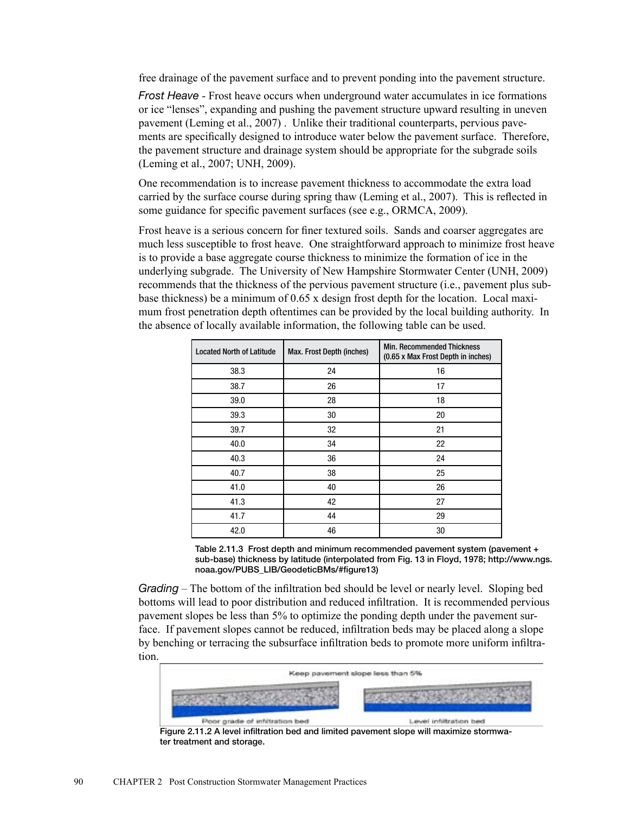free drainage of the pavement surface and to prevent ponding into the pavement structure.

*Frost Heave* - Frost heave occurs when underground water accumulates in ice formations or ice "lenses", expanding and pushing the pavement structure upward resulting in uneven pavement (Leming et al., 2007) . Unlike their traditional counterparts, pervious pavements are specifically designed to introduce water below the pavement surface. Therefore, the pavement structure and drainage system should be appropriate for the subgrade soils (Leming et al., 2007; UNH, 2009).

One recommendation is to increase pavement thickness to accommodate the extra load carried by the surface course during spring thaw (Leming et al., 2007). This is reflected in some guidance for specific pavement surfaces (see e.g., ORMCA, 2009).

Frost heave is a serious concern for finer textured soils. Sands and coarser aggregates are much less susceptible to frost heave. One straightforward approach to minimize frost heave is to provide a base aggregate course thickness to minimize the formation of ice in the underlying subgrade. The University of New Hampshire Stormwater Center (UNH, 2009) recommends that the thickness of the pervious pavement structure (i.e., pavement plus subbase thickness) be a minimum of 0.65 x design frost depth for the location. Local maximum frost penetration depth oftentimes can be provided by the local building authority. In the absence of locally available information, the following table can be used.

| <b>Located North of Latitude</b> | Max. Frost Depth (inches) | <b>Min. Recommended Thickness</b><br>(0.65 x Max Frost Depth in inches) |  |
|----------------------------------|---------------------------|-------------------------------------------------------------------------|--|
| 38.3                             | 24                        | 16                                                                      |  |
| 38.7                             | 26                        | 17                                                                      |  |
| 39.0                             | 28                        | 18                                                                      |  |
| 39.3                             | 30                        | 20                                                                      |  |
| 39.7                             | 32                        | 21                                                                      |  |
| 40.0                             | 34                        | 22                                                                      |  |
| 40.3                             | 36                        | 24                                                                      |  |
| 40.7                             | 38                        | 25                                                                      |  |
| 41.0                             | 40                        | 26                                                                      |  |
| 41.3                             | 42                        | 27                                                                      |  |
| 41.7                             | 44                        | 29                                                                      |  |
| 42.0                             | 46                        | 30                                                                      |  |

Table 2.11.3 Frost depth and minimum recommended pavement system (pavement + sub-base) thickness by latitude (interpolated from Fig. 13 in Floyd, 1978; http://www.ngs. noaa.gov/PUBS\_LIB/GeodeticBMs/#figure13)

*Grading* – The bottom of the infiltration bed should be level or nearly level. Sloping bed bottoms will lead to poor distribution and reduced infiltration. It is recommended pervious pavement slopes be less than 5% to optimize the ponding depth under the pavement surface. If pavement slopes cannot be reduced, infiltration beds may be placed along a slope by benching or terracing the subsurface infiltration beds to promote more uniform infiltration.

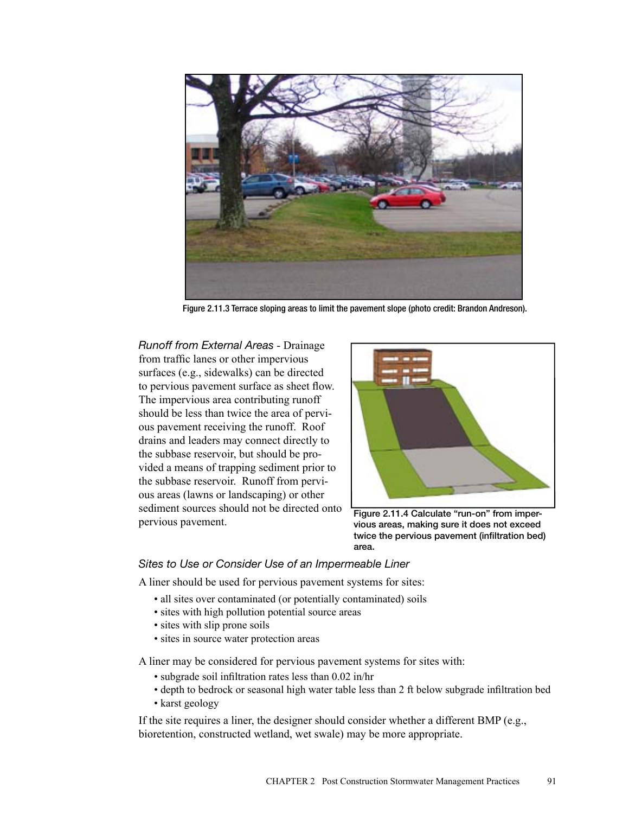

Figure 2.11.3 Terrace sloping areas to limit the pavement slope (photo credit: Brandon Andreson).

*Runoff from External Areas* - Drainage from traffic lanes or other impervious surfaces (e.g., sidewalks) can be directed to pervious pavement surface as sheet flow. The impervious area contributing runoff should be less than twice the area of pervious pavement receiving the runoff. Roof drains and leaders may connect directly to the subbase reservoir, but should be provided a means of trapping sediment prior to the subbase reservoir. Runoff from pervious areas (lawns or landscaping) or other sediment sources should not be directed onto pervious pavement.



Figure 2.11.4 Calculate "run-on" from impervious areas, making sure it does not exceed twice the pervious pavement (infiltration bed) area.

# *Sites to Use or Consider Use of an Impermeable Liner*

A liner should be used for pervious pavement systems for sites:

- all sites over contaminated (or potentially contaminated) soils
- sites with high pollution potential source areas
- sites with slip prone soils
- sites in source water protection areas

A liner may be considered for pervious pavement systems for sites with:

- subgrade soil infiltration rates less than 0.02 in/hr
- depth to bedrock or seasonal high water table less than 2 ft below subgrade infiltration bed
- karst geology

If the site requires a liner, the designer should consider whether a different BMP (e.g., bioretention, constructed wetland, wet swale) may be more appropriate.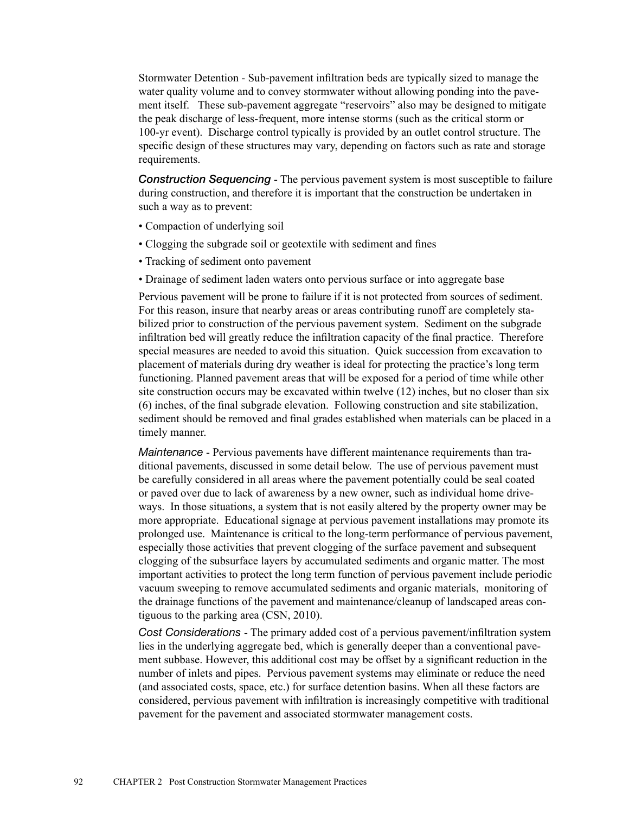Stormwater Detention - Sub-pavement infiltration beds are typically sized to manage the water quality volume and to convey stormwater without allowing ponding into the pavement itself. These sub-pavement aggregate "reservoirs" also may be designed to mitigate the peak discharge of less-frequent, more intense storms (such as the critical storm or 100-yr event). Discharge control typically is provided by an outlet control structure. The specific design of these structures may vary, depending on factors such as rate and storage requirements.

**Construction Sequencing** - The pervious pavement system is most susceptible to failure during construction, and therefore it is important that the construction be undertaken in such a way as to prevent:

- Compaction of underlying soil
- Clogging the subgrade soil or geotextile with sediment and fines
- Tracking of sediment onto pavement
- Drainage of sediment laden waters onto pervious surface or into aggregate base

Pervious pavement will be prone to failure if it is not protected from sources of sediment. For this reason, insure that nearby areas or areas contributing runoff are completely stabilized prior to construction of the pervious pavement system. Sediment on the subgrade infiltration bed will greatly reduce the infiltration capacity of the final practice. Therefore special measures are needed to avoid this situation. Quick succession from excavation to placement of materials during dry weather is ideal for protecting the practice's long term functioning. Planned pavement areas that will be exposed for a period of time while other site construction occurs may be excavated within twelve (12) inches, but no closer than six (6) inches, of the final subgrade elevation. Following construction and site stabilization, sediment should be removed and final grades established when materials can be placed in a timely manner.

*Maintenance* - Pervious pavements have different maintenance requirements than traditional pavements, discussed in some detail below. The use of pervious pavement must be carefully considered in all areas where the pavement potentially could be seal coated or paved over due to lack of awareness by a new owner, such as individual home driveways. In those situations, a system that is not easily altered by the property owner may be more appropriate. Educational signage at pervious pavement installations may promote its prolonged use. Maintenance is critical to the long-term performance of pervious pavement, especially those activities that prevent clogging of the surface pavement and subsequent clogging of the subsurface layers by accumulated sediments and organic matter. The most important activities to protect the long term function of pervious pavement include periodic vacuum sweeping to remove accumulated sediments and organic materials, monitoring of the drainage functions of the pavement and maintenance/cleanup of landscaped areas contiguous to the parking area (CSN, 2010).

*Cost Considerations* - The primary added cost of a pervious pavement/infiltration system lies in the underlying aggregate bed, which is generally deeper than a conventional pavement subbase. However, this additional cost may be offset by a significant reduction in the number of inlets and pipes. Pervious pavement systems may eliminate or reduce the need (and associated costs, space, etc.) for surface detention basins. When all these factors are considered, pervious pavement with infiltration is increasingly competitive with traditional pavement for the pavement and associated stormwater management costs.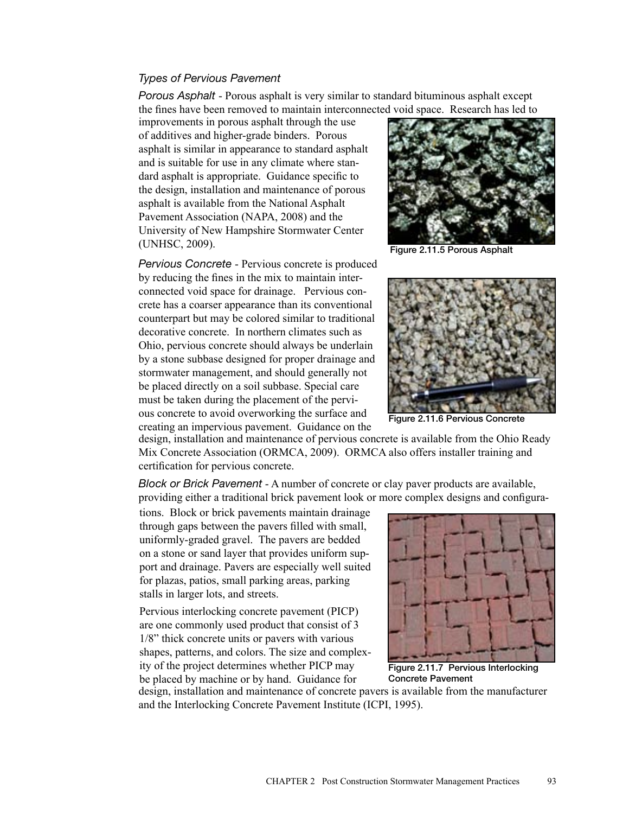## *Types of Pervious Pavement*

*Porous Asphalt* - Porous asphalt is very similar to standard bituminous asphalt except the fines have been removed to maintain interconnected void space. Research has led to

improvements in porous asphalt through the use of additives and higher-grade binders. Porous asphalt is similar in appearance to standard asphalt and is suitable for use in any climate where standard asphalt is appropriate. Guidance specific to the design, installation and maintenance of porous asphalt is available from the National Asphalt Pavement Association (NAPA, 2008) and the University of New Hampshire Stormwater Center (UNHSC, 2009).

*Pervious Concrete* - Pervious concrete is produced by reducing the fines in the mix to maintain interconnected void space for drainage. Pervious concrete has a coarser appearance than its conventional counterpart but may be colored similar to traditional decorative concrete. In northern climates such as Ohio, pervious concrete should always be underlain by a stone subbase designed for proper drainage and stormwater management, and should generally not be placed directly on a soil subbase. Special care must be taken during the placement of the pervious concrete to avoid overworking the surface and creating an impervious pavement. Guidance on the



Figure 2.11.5 Porous Asphalt



Figure 2.11.6 Pervious Concrete

design, installation and maintenance of pervious concrete is available from the Ohio Ready Mix Concrete Association (ORMCA, 2009). ORMCA also offers installer training and certification for pervious concrete.

*Block or Brick Pavement* - A number of concrete or clay paver products are available, providing either a traditional brick pavement look or more complex designs and configura-

tions. Block or brick pavements maintain drainage through gaps between the pavers filled with small, uniformly-graded gravel. The pavers are bedded on a stone or sand layer that provides uniform support and drainage. Pavers are especially well suited for plazas, patios, small parking areas, parking stalls in larger lots, and streets.

Pervious interlocking concrete pavement (PICP) are one commonly used product that consist of 3 1/8" thick concrete units or pavers with various shapes, patterns, and colors. The size and complexity of the project determines whether PICP may be placed by machine or by hand. Guidance for



Figure 2.11.7 Pervious Interlocking Concrete Pavement

design, installation and maintenance of concrete pavers is available from the manufacturer and the Interlocking Concrete Pavement Institute (ICPI, 1995).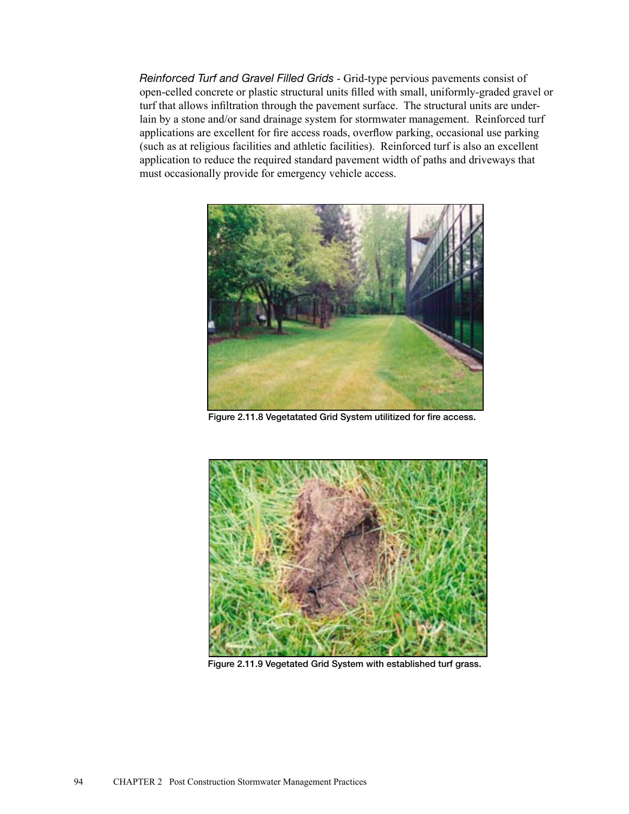*Reinforced Turf and Gravel Filled Grids* - Grid-type pervious pavements consist of open-celled concrete or plastic structural units filled with small, uniformly-graded gravel or turf that allows infiltration through the pavement surface. The structural units are underlain by a stone and/or sand drainage system for stormwater management. Reinforced turf applications are excellent for fire access roads, overflow parking, occasional use parking (such as at religious facilities and athletic facilities). Reinforced turf is also an excellent application to reduce the required standard pavement width of paths and driveways that must occasionally provide for emergency vehicle access.



Figure 2.11.8 Vegetatated Grid System utilitized for fire access.



Figure 2.11.9 Vegetated Grid System with established turf grass.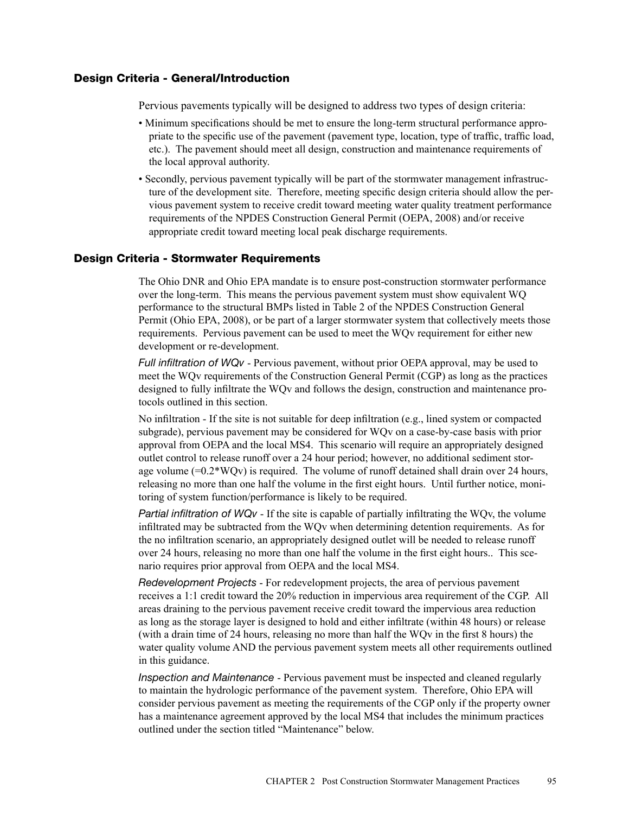## Design Criteria - General/Introduction

Pervious pavements typically will be designed to address two types of design criteria:

- Minimum specifications should be met to ensure the long-term structural performance appropriate to the specific use of the pavement (pavement type, location, type of traffic, traffic load, etc.). The pavement should meet all design, construction and maintenance requirements of the local approval authority.
- Secondly, pervious pavement typically will be part of the stormwater management infrastructure of the development site. Therefore, meeting specific design criteria should allow the pervious pavement system to receive credit toward meeting water quality treatment performance requirements of the NPDES Construction General Permit (OEPA, 2008) and/or receive appropriate credit toward meeting local peak discharge requirements.

#### Design Criteria - Stormwater Requirements

The Ohio DNR and Ohio EPA mandate is to ensure post-construction stormwater performance over the long-term. This means the pervious pavement system must show equivalent WQ performance to the structural BMPs listed in Table 2 of the NPDES Construction General Permit (Ohio EPA, 2008), or be part of a larger stormwater system that collectively meets those requirements. Pervious pavement can be used to meet the WQv requirement for either new development or re-development.

*Full infiltration of WQv* - Pervious pavement, without prior OEPA approval, may be used to meet the WQv requirements of the Construction General Permit (CGP) as long as the practices designed to fully infiltrate the WQv and follows the design, construction and maintenance protocols outlined in this section.

No infiltration - If the site is not suitable for deep infiltration (e.g., lined system or compacted subgrade), pervious pavement may be considered for WQv on a case-by-case basis with prior approval from OEPA and the local MS4. This scenario will require an appropriately designed outlet control to release runoff over a 24 hour period; however, no additional sediment storage volume  $(=0.2*WOv)$  is required. The volume of runoff detained shall drain over 24 hours, releasing no more than one half the volume in the first eight hours. Until further notice, monitoring of system function/performance is likely to be required.

*Partial infiltration of WQv* - If the site is capable of partially infiltrating the WQv, the volume infiltrated may be subtracted from the WQv when determining detention requirements. As for the no infiltration scenario, an appropriately designed outlet will be needed to release runoff over 24 hours, releasing no more than one half the volume in the first eight hours.. This scenario requires prior approval from OEPA and the local MS4.

*Redevelopment Projects* - For redevelopment projects, the area of pervious pavement receives a 1:1 credit toward the 20% reduction in impervious area requirement of the CGP. All areas draining to the pervious pavement receive credit toward the impervious area reduction as long as the storage layer is designed to hold and either infiltrate (within 48 hours) or release (with a drain time of 24 hours, releasing no more than half the WQv in the first 8 hours) the water quality volume AND the pervious pavement system meets all other requirements outlined in this guidance.

*Inspection and Maintenance* - Pervious pavement must be inspected and cleaned regularly to maintain the hydrologic performance of the pavement system. Therefore, Ohio EPA will consider pervious pavement as meeting the requirements of the CGP only if the property owner has a maintenance agreement approved by the local MS4 that includes the minimum practices outlined under the section titled "Maintenance" below.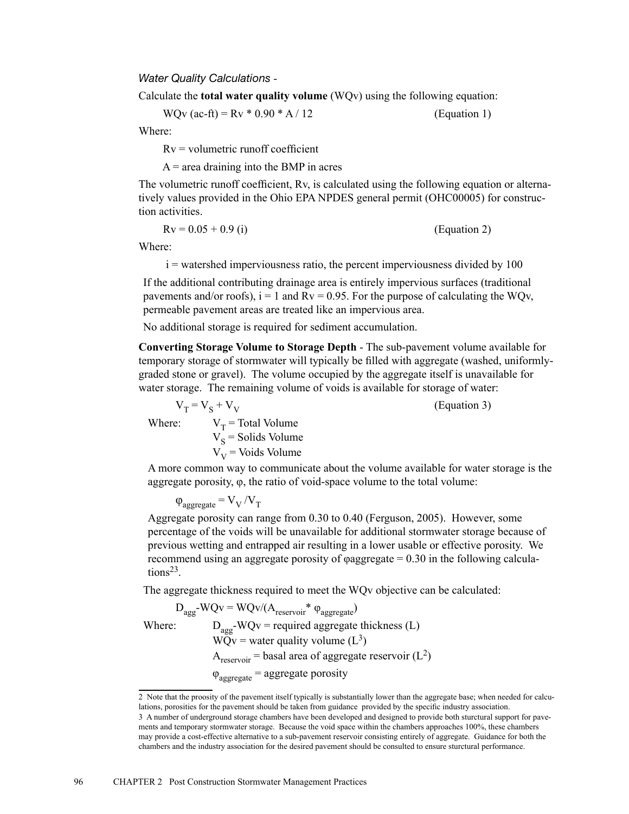*Water Quality Calculations* -

Calculate the **total water quality volume** (WQv) using the following equation:

WQv (ac-ft) =  $Rv * 0.90 * A / 12$  (Equation 1)

Where:

 $Rv =$  volumetric runoff coefficient

 $A$  = area draining into the BMP in acres

The volumetric runoff coefficient, Rv, is calculated using the following equation or alternatively values provided in the Ohio EPA NPDES general permit (OHC00005) for construction activities.

$$
Rv = 0.05 + 0.9 \text{ (i)} \tag{Equation 2}
$$

Where:

 $i$  = watershed imperviousness ratio, the percent imperviousness divided by 100

If the additional contributing drainage area is entirely impervious surfaces (traditional pavements and/or roofs),  $i = 1$  and  $Rv = 0.95$ . For the purpose of calculating the WQv, permeable pavement areas are treated like an impervious area.

No additional storage is required for sediment accumulation.

 $V_V$  = Voids Volume

**Converting Storage Volume to Storage Depth** - The sub-pavement volume available for temporary storage of stormwater will typically be filled with aggregate (washed, uniformlygraded stone or gravel). The volume occupied by the aggregate itself is unavailable for water storage. The remaining volume of voids is available for storage of water:

 $V_T = V_S + V_V$  (Equation 3) Where:  $V_T$  = Total Volume  $V_s$  = Solids Volume

A more common way to communicate about the volume available for water storage is the aggregate porosity,  $φ$ , the ratio of void-space volume to the total volume:

 $\varphi_{\text{aggregate}} = V_{\text{V}}/V_{\text{T}}$ 

Aggregate porosity can range from 0.30 to 0.40 (Ferguson, 2005). However, some percentage of the voids will be unavailable for additional stormwater storage because of previous wetting and entrapped air resulting in a lower usable or effective porosity. We recommend using an aggregate porosity of φaggregate = 0.30 in the following calculations<sup>23</sup>.

The aggregate thickness required to meet the WQv objective can be calculated:

$$
D_{agg} \text{-} WQv = WQv/(A_{reserior}^* \varphi_{aggregate})
$$
  
Where:  

$$
D_{agg} \text{-} WQv = required aggregate thickness (L)
$$
  

$$
WQv = water quality volume (L^3)
$$
  

$$
A_{reservoir} = basal area of aggregate reservoir (L^2)
$$
  

$$
\varphi_{aggregate} = aggregate porosity
$$

<sup>2</sup> Note that the proosity of the pavement itself typically is substantially lower than the aggregate base; when needed for calculations, porosities for the pavement should be taken from guidance provided by the specific industry association. 3 A number of underground storage chambers have been developed and designed to provide both sturctural support for pavements and temporary stormwater storage. Because the void space within the chambers approaches 100%, these chambers may provide a cost-effective alternative to a sub-pavement reservoir consisting entirely of aggregate. Guidance for both the chambers and the industry association for the desired pavement should be consulted to ensure sturctural performance.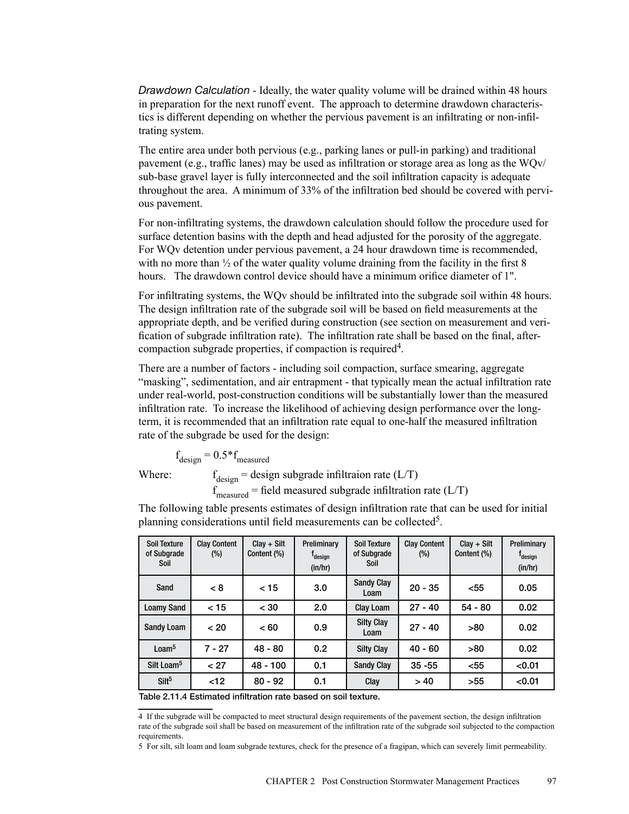*Drawdown Calculation* - Ideally, the water quality volume will be drained within 48 hours in preparation for the next runoff event. The approach to determine drawdown characteristics is different depending on whether the pervious pavement is an infiltrating or non-infiltrating system.

The entire area under both pervious (e.g., parking lanes or pull-in parking) and traditional pavement (e.g., traffic lanes) may be used as infiltration or storage area as long as the WQv/ sub-base gravel layer is fully interconnected and the soil infiltration capacity is adequate throughout the area. A minimum of 33% of the infiltration bed should be covered with pervious pavement.

For non-infiltrating systems, the drawdown calculation should follow the procedure used for surface detention basins with the depth and head adjusted for the porosity of the aggregate. For WQv detention under pervious pavement, a 24 hour drawdown time is recommended, with no more than  $\frac{1}{2}$  of the water quality volume draining from the facility in the first 8 hours. The drawdown control device should have a minimum orifice diameter of 1".

For infiltrating systems, the WQv should be infiltrated into the subgrade soil within 48 hours. The design infiltration rate of the subgrade soil will be based on field measurements at the appropriate depth, and be verified during construction (see section on measurement and verification of subgrade infiltration rate). The infiltration rate shall be based on the final, aftercompaction subgrade properties, if compaction is required4.

There are a number of factors - including soil compaction, surface smearing, aggregate "masking", sedimentation, and air entrapment - that typically mean the actual infiltration rate under real-world, post-construction conditions will be substantially lower than the measured infiltration rate. To increase the likelihood of achieving design performance over the longterm, it is recommended that an infiltration rate equal to one-half the measured infiltration rate of the subgrade be used for the design:

$$
f_{\text{design}} = 0.5 * f_{\text{measured}}
$$

f<sub>1</sub>

Where:  $f_{\text{design}} =$  design subgrade infiltraion rate (L/T)  $f_{\text{measured}}$  = field measured subgrade infiltration rate (L/T)

The following table presents estimates of design infiltration rate that can be used for initial planning considerations until field measurements can be collected<sup>5</sup>.

| <b>Soil Texture</b><br>of Subgrade<br>Soil | <b>Clay Content</b><br>$(\%)$ | $Clav + Slt$<br>Content (%) | Preliminary<br>T <sub>design</sub><br>(in/hr) | Soil Texture<br>of Subgrade<br>Soil | <b>Clay Content</b><br>(%) | $Clav + Sllt$<br>Content (%) | Preliminary<br>T <sub>design</sub><br>(in/hr) |
|--------------------------------------------|-------------------------------|-----------------------------|-----------------------------------------------|-------------------------------------|----------------------------|------------------------------|-----------------------------------------------|
| Sand                                       | < 8                           | < 15                        | 3.0                                           | <b>Sandy Clay</b><br>Loam           | $20 - 35$                  | $55$                         | 0.05                                          |
| <b>Loamy Sand</b>                          | < 15                          | < 30                        | 2.0                                           | Clay Loam                           | $27 - 40$                  | $54 - 80$                    | 0.02                                          |
| <b>Sandy Loam</b>                          | < 20                          | ~< 60                       | 0.9                                           | <b>Silty Clay</b><br>Loam           | $27 - 40$                  | >80                          | 0.02                                          |
| L <sub>o</sub> am <sup>5</sup>             | $7 - 27$                      | $48 - 80$                   | 0.2                                           | <b>Silty Clay</b>                   | $40 - 60$                  | >80                          | 0.02                                          |
| Silt Loam <sup>5</sup>                     | < 27                          | $48 - 100$                  | 0.1                                           | <b>Sandy Clay</b>                   | $35 - 55$                  | $55$                         | < 0.01                                        |
| Silt <sup>5</sup>                          | < 12                          | $80 - 92$                   | 0.1                                           | Clay                                | >40                        | >55                          | < 0.01                                        |

Table 2.11.4 Estimated infiltration rate based on soil texture.

4 If the subgrade will be compacted to meet structural design requirements of the pavement section, the design infiltration rate of the subgrade soil shall be based on measurement of the infiltration rate of the subgrade soil subjected to the compaction requirements.

5 For silt, silt loam and loam subgrade textures, check for the presence of a fragipan, which can severely limit permeability.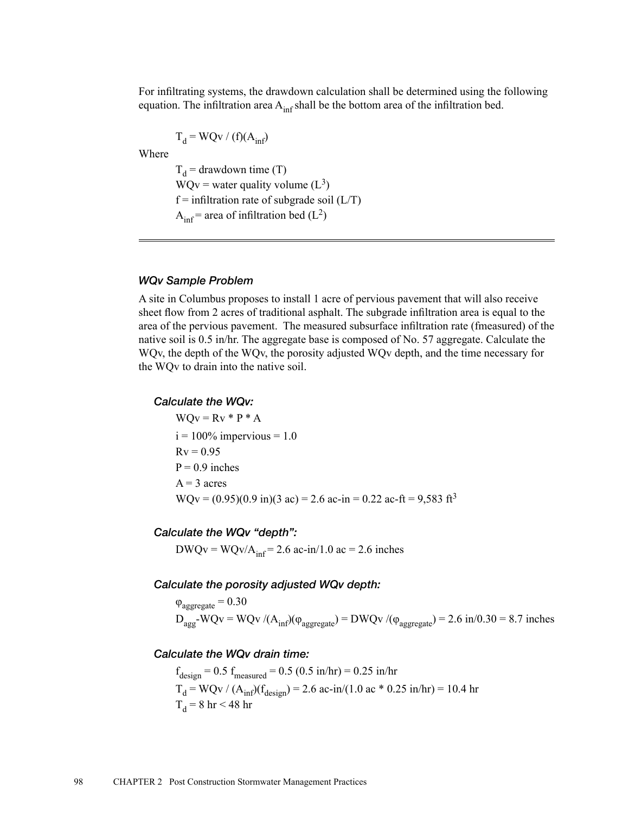For infiltrating systems, the drawdown calculation shall be determined using the following equation. The infiltration area  $A_{\text{inf}}$  shall be the bottom area of the infiltration bed.

$$
T_d = WQv / (f)(A_{inf})
$$

Where

 $T_d$  = drawdown time (T)  $WQv =$  water quality volume  $(L^3)$  $f =$  infiltration rate of subgrade soil ( $L/T$ )  $A_{\text{inf}}$  = area of infiltration bed (L<sup>2</sup>)

#### *WQv Sample Problem*

A site in Columbus proposes to install 1 acre of pervious pavement that will also receive sheet flow from 2 acres of traditional asphalt. The subgrade infiltration area is equal to the area of the pervious pavement. The measured subsurface infiltration rate (fmeasured) of the native soil is 0.5 in/hr. The aggregate base is composed of No. 57 aggregate. Calculate the WQv, the depth of the WQv, the porosity adjusted WQv depth, and the time necessary for the WQv to drain into the native soil.

### *Calculate the WQv:*

 $WQv = Rv * P * A$  $i = 100\%$  impervious = 1.0  $Rv = 0.95$  $P = 0.9$  inches  $A = 3$  acres  $WQv = (0.95)(0.9 \text{ in})(3 \text{ ac}) = 2.6 \text{ ac} \cdot \text{in} = 0.22 \text{ ac} \cdot \text{ft} = 9.583 \text{ ft}^3$ 

## *Calculate the WQv "depth":*

 $DWQv = WQv/A<sub>inf</sub> = 2.6$  ac-in/1.0 ac = 2.6 inches

## *Calculate the porosity adjusted WQv depth:*

 $\varphi_{\text{aggreate}} = 0.30$  $D_{agg}$ -WQv = WQv /( $A_{inf}$ )( $\varphi_{aggregate}$ ) = DWQv /( $\varphi_{aggregate}$ ) = 2.6 in/0.30 = 8.7 inches

#### *Calculate the WQv drain time:*

 $f_{\text{design}} = 0.5 f_{\text{measured}} = 0.5 (0.5 \text{ in/hr}) = 0.25 \text{ in/hr}$  $T_d = WQv / (A_{inf})(f_{design}) = 2.6$  ac-in/(1.0 ac \* 0.25 in/hr) = 10.4 hr  $T_d = 8$  hr < 48 hr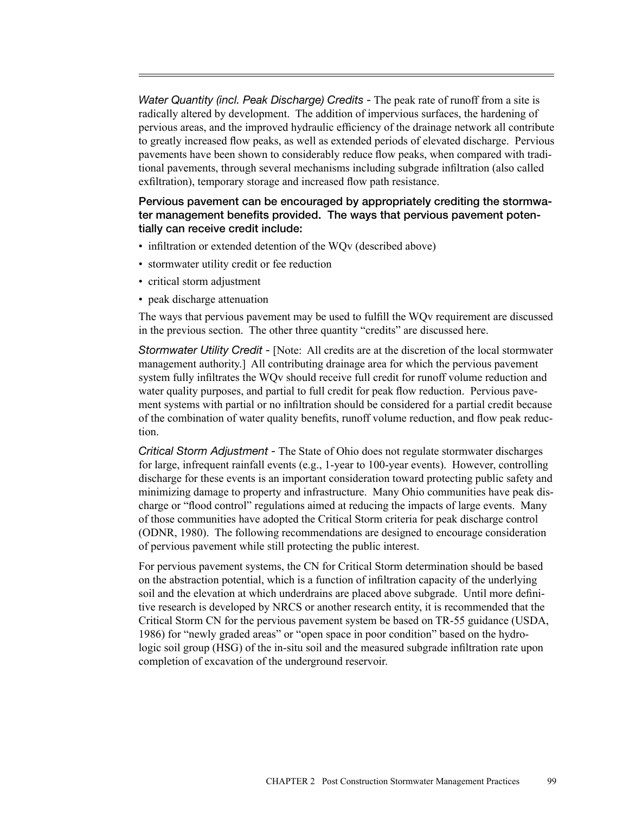*Water Quantity (incl. Peak Discharge) Credits -* The peak rate of runoff from a site is radically altered by development. The addition of impervious surfaces, the hardening of pervious areas, and the improved hydraulic efficiency of the drainage network all contribute to greatly increased flow peaks, as well as extended periods of elevated discharge. Pervious pavements have been shown to considerably reduce flow peaks, when compared with traditional pavements, through several mechanisms including subgrade infiltration (also called exfiltration), temporary storage and increased flow path resistance.

# Pervious pavement can be encouraged by appropriately crediting the stormwater management benefits provided. The ways that pervious pavement potentially can receive credit include:

- infiltration or extended detention of the WO<sub>v</sub> (described above)
- stormwater utility credit or fee reduction
- critical storm adjustment
- peak discharge attenuation

The ways that pervious pavement may be used to fulfill the WQv requirement are discussed in the previous section. The other three quantity "credits" are discussed here.

*Stormwater Utility Credit -* [Note: All credits are at the discretion of the local stormwater management authority.] All contributing drainage area for which the pervious pavement system fully infiltrates the WQv should receive full credit for runoff volume reduction and water quality purposes, and partial to full credit for peak flow reduction. Pervious pavement systems with partial or no infiltration should be considered for a partial credit because of the combination of water quality benefits, runoff volume reduction, and flow peak reduction.

*Critical Storm Adjustment -* The State of Ohio does not regulate stormwater discharges for large, infrequent rainfall events (e.g., 1-year to 100-year events). However, controlling discharge for these events is an important consideration toward protecting public safety and minimizing damage to property and infrastructure. Many Ohio communities have peak discharge or "flood control" regulations aimed at reducing the impacts of large events. Many of those communities have adopted the Critical Storm criteria for peak discharge control (ODNR, 1980). The following recommendations are designed to encourage consideration of pervious pavement while still protecting the public interest.

For pervious pavement systems, the CN for Critical Storm determination should be based on the abstraction potential, which is a function of infiltration capacity of the underlying soil and the elevation at which underdrains are placed above subgrade. Until more definitive research is developed by NRCS or another research entity, it is recommended that the Critical Storm CN for the pervious pavement system be based on TR-55 guidance (USDA, 1986) for "newly graded areas" or "open space in poor condition" based on the hydrologic soil group (HSG) of the in-situ soil and the measured subgrade infiltration rate upon completion of excavation of the underground reservoir.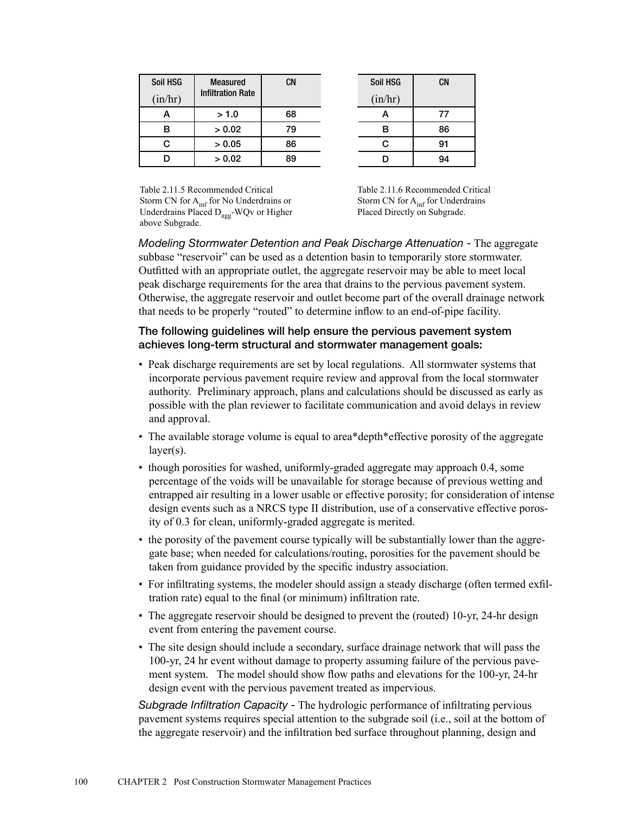| Soil HSG | <b>Measured</b>          | <b>CN</b> | Soil HSG | <b>CN</b> |
|----------|--------------------------|-----------|----------|-----------|
| (in/hr)  | <b>Infiltration Rate</b> |           | (in/hr)  |           |
| А        | > 1.0                    | 68        | А        | 77        |
| в        | > 0.02                   | 79        | В        | 86        |
| С        | > 0.05                   | 86        |          | 91        |
| D        | > 0.02                   | 89        |          | 94        |

| CN | Soil HSG | <b>CN</b> |
|----|----------|-----------|
|    | (in/hr)  |           |
| 68 | А        | 77        |
| 79 | в        | 86        |
| 86 | C        | 91        |
| 89 | D        | 94        |
|    |          |           |

Table 2.11.5 Recommended Critical Storm CN for A<sub>inf</sub> for No Underdrains or Underdrains Placed D<sub>agg</sub>-WQv or Higher above Subgrade.

Table 2.11.6 Recommended Critical Storm CN for  $A_{\text{inf}}$  for Underdrains Placed Directly on Subgrade.

*Modeling Stormwater Detention and Peak Discharge Attenuation -* The aggregate subbase "reservoir" can be used as a detention basin to temporarily store stormwater. Outfitted with an appropriate outlet, the aggregate reservoir may be able to meet local peak discharge requirements for the area that drains to the pervious pavement system. Otherwise, the aggregate reservoir and outlet become part of the overall drainage network that needs to be properly "routed" to determine inflow to an end-of-pipe facility.

# The following guidelines will help ensure the pervious pavement system achieves long-term structural and stormwater management goals:

- Peak discharge requirements are set by local regulations. All stormwater systems that incorporate pervious pavement require review and approval from the local stormwater authority. Preliminary approach, plans and calculations should be discussed as early as possible with the plan reviewer to facilitate communication and avoid delays in review and approval.
- The available storage volume is equal to area\*depth\*effective porosity of the aggregate layer(s).
- though porosities for washed, uniformly-graded aggregate may approach 0.4, some percentage of the voids will be unavailable for storage because of previous wetting and entrapped air resulting in a lower usable or effective porosity; for consideration of intense design events such as a NRCS type II distribution, use of a conservative effective porosity of 0.3 for clean, uniformly-graded aggregate is merited.
- the porosity of the pavement course typically will be substantially lower than the aggregate base; when needed for calculations/routing, porosities for the pavement should be taken from guidance provided by the specific industry association.
- For infiltrating systems, the modeler should assign a steady discharge (often termed exfiltration rate) equal to the final (or minimum) infiltration rate.
- The aggregate reservoir should be designed to prevent the (routed) 10-yr, 24-hr design event from entering the pavement course.
- The site design should include a secondary, surface drainage network that will pass the 100-yr, 24 hr event without damage to property assuming failure of the pervious pavement system. The model should show flow paths and elevations for the 100-yr, 24-hr design event with the pervious pavement treated as impervious.

*Subgrade Infiltration Capacity -* The hydrologic performance of infiltrating pervious pavement systems requires special attention to the subgrade soil (i.e., soil at the bottom of the aggregate reservoir) and the infiltration bed surface throughout planning, design and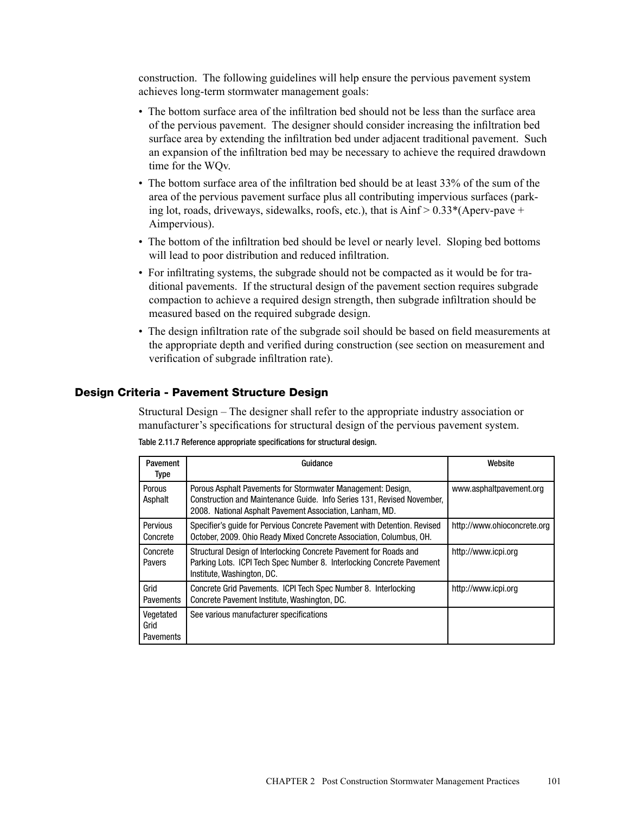construction. The following guidelines will help ensure the pervious pavement system achieves long-term stormwater management goals:

- The bottom surface area of the infiltration bed should not be less than the surface area of the pervious pavement. The designer should consider increasing the infiltration bed surface area by extending the infiltration bed under adjacent traditional pavement. Such an expansion of the infiltration bed may be necessary to achieve the required drawdown time for the WQv.
- The bottom surface area of the infiltration bed should be at least 33% of the sum of the area of the pervious pavement surface plus all contributing impervious surfaces (parking lot, roads, driveways, sidewalks, roofs, etc.), that is  $A$ inf > 0.33 $*(A$ perv-pave + Aimpervious).
- The bottom of the infiltration bed should be level or nearly level. Sloping bed bottoms will lead to poor distribution and reduced infiltration.
- For infiltrating systems, the subgrade should not be compacted as it would be for traditional pavements. If the structural design of the pavement section requires subgrade compaction to achieve a required design strength, then subgrade infiltration should be measured based on the required subgrade design.
- The design infiltration rate of the subgrade soil should be based on field measurements at the appropriate depth and verified during construction (see section on measurement and verification of subgrade infiltration rate).

# Design Criteria - Pavement Structure Design

Structural Design – The designer shall refer to the appropriate industry association or manufacturer's specifications for structural design of the pervious pavement system.

| Pavement<br><b>Type</b>               | Guidance                                                                                                                                                                                          | Website                     |
|---------------------------------------|---------------------------------------------------------------------------------------------------------------------------------------------------------------------------------------------------|-----------------------------|
| Porous<br>Asphalt                     | Porous Asphalt Pavements for Stormwater Management: Design,<br>Construction and Maintenance Guide. Info Series 131, Revised November,<br>2008. National Asphalt Pavement Association, Lanham, MD. | www.asphaltpavement.org     |
| Pervious<br>Concrete                  | Specifier's quide for Pervious Concrete Pavement with Detention. Revised<br>October, 2009. Ohio Ready Mixed Concrete Association, Columbus, OH.                                                   | http://www.ohioconcrete.org |
| Concrete<br>Pavers                    | Structural Design of Interlocking Concrete Pavement for Roads and<br>Parking Lots. ICPI Tech Spec Number 8. Interlocking Concrete Pavement<br>Institute. Washington, DC.                          | http://www.icpi.org         |
| Grid<br>Pavements                     | Concrete Grid Pavements. ICPI Tech Spec Number 8. Interlocking<br>Concrete Pavement Institute, Washington, DC.                                                                                    | http://www.icpi.org         |
| Vegetated<br>Grid<br><b>Pavements</b> | See various manufacturer specifications                                                                                                                                                           |                             |

Table 2.11.7 Reference appropriate specifications for structural design.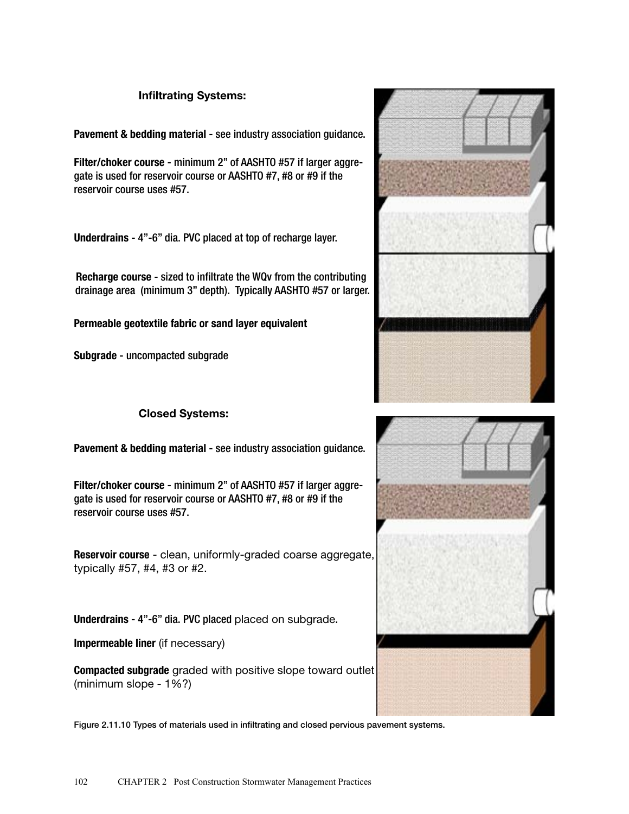# Infiltrating Systems:

Pavement & bedding material - see industry association guidance.

Filter/choker course - minimum 2" of AASHTO #57 if larger aggregate is used for reservoir course or AASHTO #7, #8 or #9 if the reservoir course uses #57.

Underdrains - 4"-6" dia. PVC placed at top of recharge layer.

Recharge course - sized to infiltrate the WQv from the contributing drainage area (minimum 3" depth). Typically AASHTO #57 or larger.

Permeable geotextile fabric or sand layer equivalent

Subgrade - uncompacted subgrade

# Closed Systems:

Pavement & bedding material - see industry association guidance.

Filter/choker course - minimum 2" of AASHTO #57 if larger aggregate is used for reservoir course or AASHTO #7, #8 or #9 if the reservoir course uses #57.

Reservoir course - clean, uniformly-graded coarse aggregate, typically #57, #4, #3 or #2.

Underdrains - 4"-6" dia. PVC placed placed on subgrade.

Impermeable liner (if necessary)

Compacted subgrade graded with positive slope toward outlet (minimum slope - 1%?)

Figure 2.11.10 Types of materials used in infiltrating and closed pervious pavement systems.



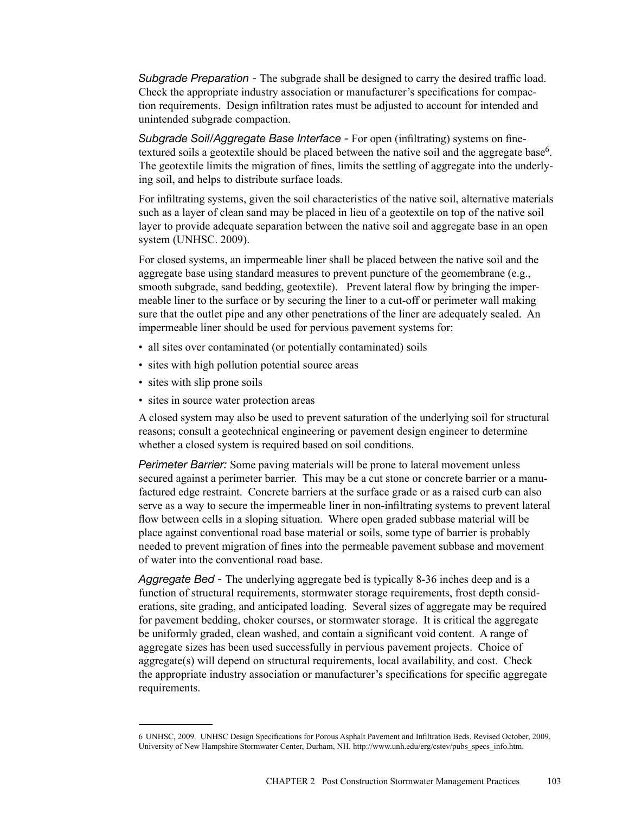*Subgrade Preparation -* The subgrade shall be designed to carry the desired traffic load. Check the appropriate industry association or manufacturer's specifications for compaction requirements. Design infiltration rates must be adjusted to account for intended and unintended subgrade compaction.

*Subgrade Soil/Aggregate Base Interface -* For open (infiltrating) systems on finetextured soils a geotextile should be placed between the native soil and the aggregate base<sup>6</sup>. The geotextile limits the migration of fines, limits the settling of aggregate into the underlying soil, and helps to distribute surface loads.

For infiltrating systems, given the soil characteristics of the native soil, alternative materials such as a layer of clean sand may be placed in lieu of a geotextile on top of the native soil layer to provide adequate separation between the native soil and aggregate base in an open system (UNHSC. 2009).

For closed systems, an impermeable liner shall be placed between the native soil and the aggregate base using standard measures to prevent puncture of the geomembrane (e.g., smooth subgrade, sand bedding, geotextile). Prevent lateral flow by bringing the impermeable liner to the surface or by securing the liner to a cut-off or perimeter wall making sure that the outlet pipe and any other penetrations of the liner are adequately sealed. An impermeable liner should be used for pervious pavement systems for:

- all sites over contaminated (or potentially contaminated) soils
- sites with high pollution potential source areas
- sites with slip prone soils
- sites in source water protection areas

A closed system may also be used to prevent saturation of the underlying soil for structural reasons; consult a geotechnical engineering or pavement design engineer to determine whether a closed system is required based on soil conditions.

*Perimeter Barrier:* Some paving materials will be prone to lateral movement unless secured against a perimeter barrier. This may be a cut stone or concrete barrier or a manufactured edge restraint. Concrete barriers at the surface grade or as a raised curb can also serve as a way to secure the impermeable liner in non-infiltrating systems to prevent lateral flow between cells in a sloping situation. Where open graded subbase material will be place against conventional road base material or soils, some type of barrier is probably needed to prevent migration of fines into the permeable pavement subbase and movement of water into the conventional road base.

*Aggregate Bed -* The underlying aggregate bed is typically 8-36 inches deep and is a function of structural requirements, stormwater storage requirements, frost depth considerations, site grading, and anticipated loading. Several sizes of aggregate may be required for pavement bedding, choker courses, or stormwater storage. It is critical the aggregate be uniformly graded, clean washed, and contain a significant void content. A range of aggregate sizes has been used successfully in pervious pavement projects. Choice of aggregate(s) will depend on structural requirements, local availability, and cost. Check the appropriate industry association or manufacturer's specifications for specific aggregate requirements.

<sup>6</sup> UNHSC, 2009. UNHSC Design Specifications for Porous Asphalt Pavement and Infiltration Beds. Revised October, 2009. University of New Hampshire Stormwater Center, Durham, NH. http://www.unh.edu/erg/cstev/pubs\_specs\_info.htm.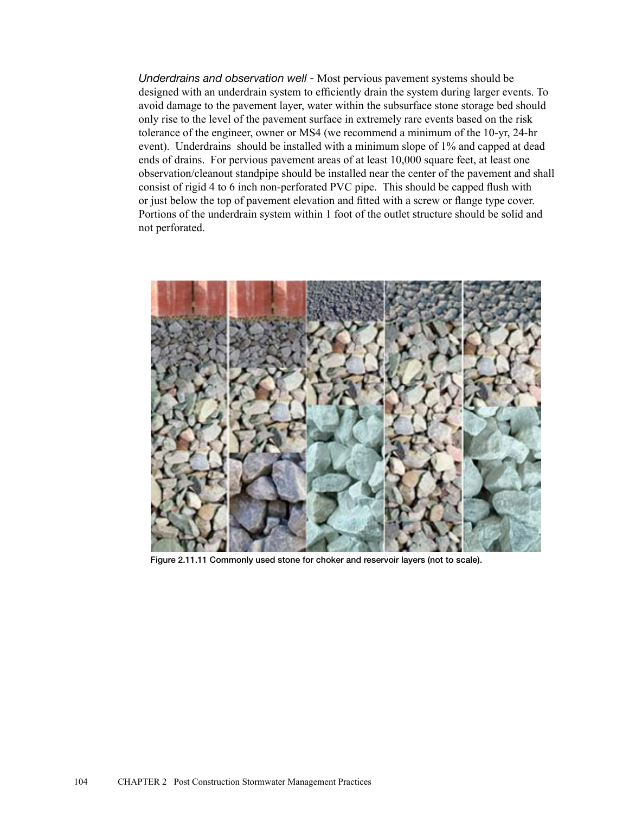*Underdrains and observation well -* Most pervious pavement systems should be designed with an underdrain system to efficiently drain the system during larger events. To avoid damage to the pavement layer, water within the subsurface stone storage bed should only rise to the level of the pavement surface in extremely rare events based on the risk tolerance of the engineer, owner or MS4 (we recommend a minimum of the 10-yr, 24-hr event). Underdrains should be installed with a minimum slope of 1% and capped at dead ends of drains. For pervious pavement areas of at least 10,000 square feet, at least one observation/cleanout standpipe should be installed near the center of the pavement and shall consist of rigid 4 to 6 inch non-perforated PVC pipe. This should be capped flush with or just below the top of pavement elevation and fitted with a screw or flange type cover. Portions of the underdrain system within 1 foot of the outlet structure should be solid and not perforated.



Figure 2.11.11 Commonly used stone for choker and reservoir layers (not to scale).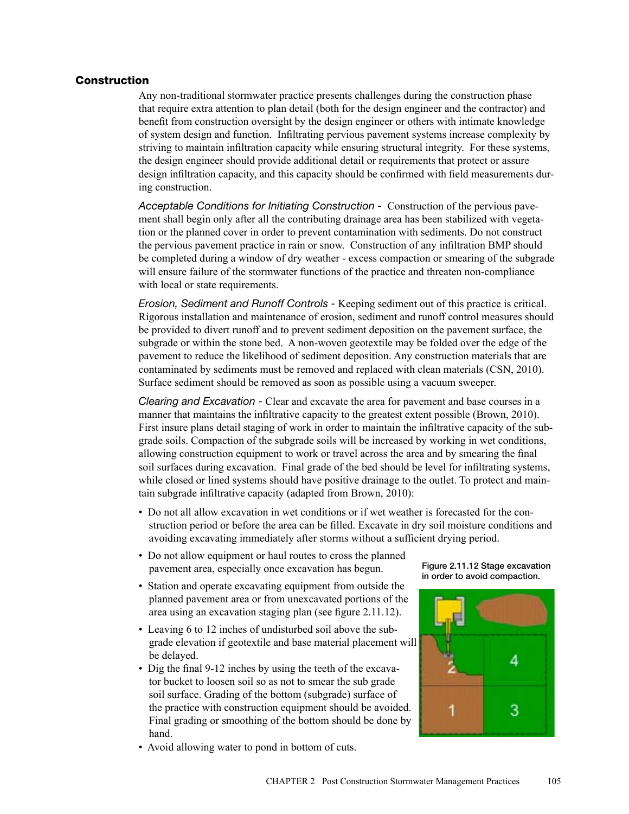## **Construction**

Any non-traditional stormwater practice presents challenges during the construction phase that require extra attention to plan detail (both for the design engineer and the contractor) and benefit from construction oversight by the design engineer or others with intimate knowledge of system design and function. Infiltrating pervious pavement systems increase complexity by striving to maintain infiltration capacity while ensuring structural integrity. For these systems, the design engineer should provide additional detail or requirements that protect or assure design infiltration capacity, and this capacity should be confirmed with field measurements during construction.

*Acceptable Conditions for Initiating Construction -* Construction of the pervious pavement shall begin only after all the contributing drainage area has been stabilized with vegetation or the planned cover in order to prevent contamination with sediments. Do not construct the pervious pavement practice in rain or snow. Construction of any infiltration BMP should be completed during a window of dry weather - excess compaction or smearing of the subgrade will ensure failure of the stormwater functions of the practice and threaten non-compliance with local or state requirements.

*Erosion, Sediment and Runoff Controls -* Keeping sediment out of this practice is critical. Rigorous installation and maintenance of erosion, sediment and runoff control measures should be provided to divert runoff and to prevent sediment deposition on the pavement surface, the subgrade or within the stone bed. A non-woven geotextile may be folded over the edge of the pavement to reduce the likelihood of sediment deposition. Any construction materials that are contaminated by sediments must be removed and replaced with clean materials (CSN, 2010). Surface sediment should be removed as soon as possible using a vacuum sweeper.

*Clearing and Excavation -* Clear and excavate the area for pavement and base courses in a manner that maintains the infiltrative capacity to the greatest extent possible (Brown, 2010). First insure plans detail staging of work in order to maintain the infiltrative capacity of the subgrade soils. Compaction of the subgrade soils will be increased by working in wet conditions, allowing construction equipment to work or travel across the area and by smearing the final soil surfaces during excavation. Final grade of the bed should be level for infiltrating systems, while closed or lined systems should have positive drainage to the outlet. To protect and maintain subgrade infiltrative capacity (adapted from Brown, 2010):

- Do not all allow excavation in wet conditions or if wet weather is forecasted for the construction period or before the area can be filled. Excavate in dry soil moisture conditions and avoiding excavating immediately after storms without a sufficient drying period.
- Do not allow equipment or haul routes to cross the planned pavement area, especially once excavation has begun.
- Station and operate excavating equipment from outside the planned pavement area or from unexcavated portions of the area using an excavation staging plan (see figure 2.11.12).
- Leaving 6 to 12 inches of undisturbed soil above the subgrade elevation if geotextile and base material placement will be delayed.
- Dig the final 9-12 inches by using the teeth of the excavator bucket to loosen soil so as not to smear the sub grade soil surface. Grading of the bottom (subgrade) surface of the practice with construction equipment should be avoided. Final grading or smoothing of the bottom should be done by hand.
- Avoid allowing water to pond in bottom of cuts.

Figure 2.11.12 Stage excavation in order to avoid compaction.

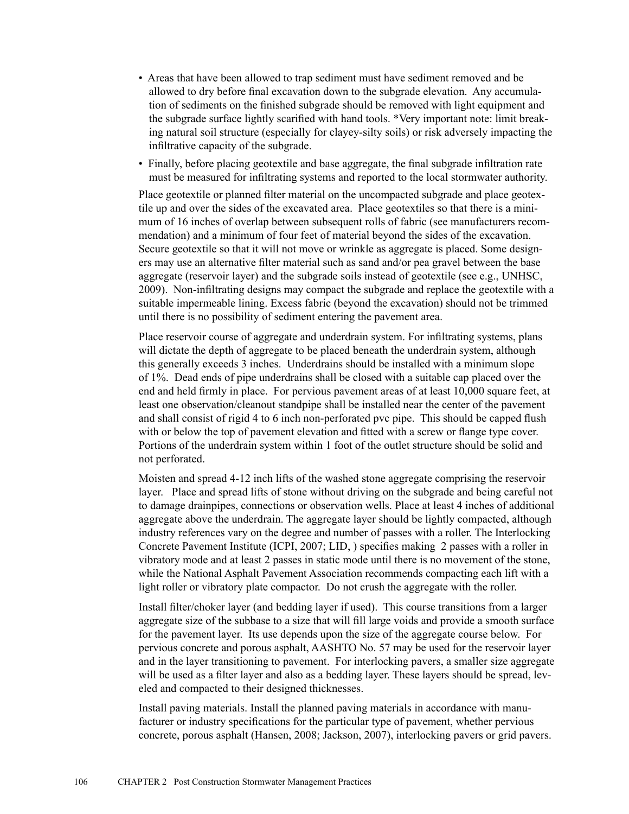- Areas that have been allowed to trap sediment must have sediment removed and be allowed to dry before final excavation down to the subgrade elevation. Any accumulation of sediments on the finished subgrade should be removed with light equipment and the subgrade surface lightly scarified with hand tools. \*Very important note: limit breaking natural soil structure (especially for clayey-silty soils) or risk adversely impacting the infiltrative capacity of the subgrade.
- Finally, before placing geotextile and base aggregate, the final subgrade infiltration rate must be measured for infiltrating systems and reported to the local stormwater authority.

Place geotextile or planned filter material on the uncompacted subgrade and place geotextile up and over the sides of the excavated area. Place geotextiles so that there is a minimum of 16 inches of overlap between subsequent rolls of fabric (see manufacturers recommendation) and a minimum of four feet of material beyond the sides of the excavation. Secure geotextile so that it will not move or wrinkle as aggregate is placed. Some designers may use an alternative filter material such as sand and/or pea gravel between the base aggregate (reservoir layer) and the subgrade soils instead of geotextile (see e.g., UNHSC, 2009). Non-infiltrating designs may compact the subgrade and replace the geotextile with a suitable impermeable lining. Excess fabric (beyond the excavation) should not be trimmed until there is no possibility of sediment entering the pavement area.

Place reservoir course of aggregate and underdrain system. For infiltrating systems, plans will dictate the depth of aggregate to be placed beneath the underdrain system, although this generally exceeds 3 inches. Underdrains should be installed with a minimum slope of 1%. Dead ends of pipe underdrains shall be closed with a suitable cap placed over the end and held firmly in place. For pervious pavement areas of at least 10,000 square feet, at least one observation/cleanout standpipe shall be installed near the center of the pavement and shall consist of rigid 4 to 6 inch non-perforated pvc pipe. This should be capped flush with or below the top of pavement elevation and fitted with a screw or flange type cover. Portions of the underdrain system within 1 foot of the outlet structure should be solid and not perforated.

Moisten and spread 4-12 inch lifts of the washed stone aggregate comprising the reservoir layer. Place and spread lifts of stone without driving on the subgrade and being careful not to damage drainpipes, connections or observation wells. Place at least 4 inches of additional aggregate above the underdrain. The aggregate layer should be lightly compacted, although industry references vary on the degree and number of passes with a roller. The Interlocking Concrete Pavement Institute (ICPI, 2007; LID, ) specifies making 2 passes with a roller in vibratory mode and at least 2 passes in static mode until there is no movement of the stone, while the National Asphalt Pavement Association recommends compacting each lift with a light roller or vibratory plate compactor. Do not crush the aggregate with the roller.

Install filter/choker layer (and bedding layer if used). This course transitions from a larger aggregate size of the subbase to a size that will fill large voids and provide a smooth surface for the pavement layer. Its use depends upon the size of the aggregate course below. For pervious concrete and porous asphalt, AASHTO No. 57 may be used for the reservoir layer and in the layer transitioning to pavement. For interlocking pavers, a smaller size aggregate will be used as a filter layer and also as a bedding layer. These layers should be spread, leveled and compacted to their designed thicknesses.

Install paving materials. Install the planned paving materials in accordance with manufacturer or industry specifications for the particular type of pavement, whether pervious concrete, porous asphalt (Hansen, 2008; Jackson, 2007), interlocking pavers or grid pavers.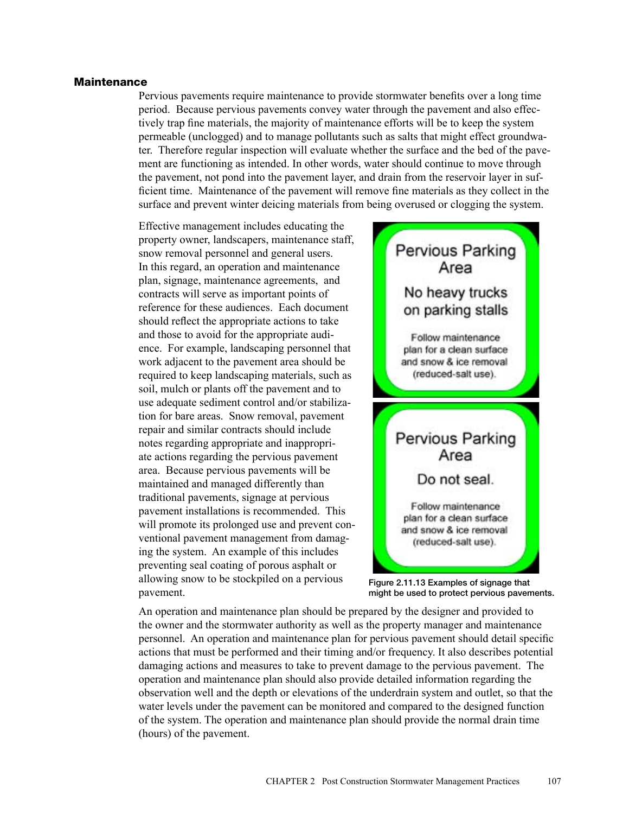#### Maintenance

Pervious pavements require maintenance to provide stormwater benefits over a long time period. Because pervious pavements convey water through the pavement and also effectively trap fine materials, the majority of maintenance efforts will be to keep the system permeable (unclogged) and to manage pollutants such as salts that might effect groundwater. Therefore regular inspection will evaluate whether the surface and the bed of the pavement are functioning as intended. In other words, water should continue to move through the pavement, not pond into the pavement layer, and drain from the reservoir layer in sufficient time. Maintenance of the pavement will remove fine materials as they collect in the surface and prevent winter deicing materials from being overused or clogging the system.

Effective management includes educating the property owner, landscapers, maintenance staff, snow removal personnel and general users. In this regard, an operation and maintenance plan, signage, maintenance agreements, and contracts will serve as important points of reference for these audiences. Each document should reflect the appropriate actions to take and those to avoid for the appropriate audience. For example, landscaping personnel that work adjacent to the pavement area should be required to keep landscaping materials, such as soil, mulch or plants off the pavement and to use adequate sediment control and/or stabilization for bare areas. Snow removal, pavement repair and similar contracts should include notes regarding appropriate and inappropriate actions regarding the pervious pavement area. Because pervious pavements will be maintained and managed differently than traditional pavements, signage at pervious pavement installations is recommended. This will promote its prolonged use and prevent conventional pavement management from damaging the system. An example of this includes preventing seal coating of porous asphalt or allowing snow to be stockpiled on a pervious pavement.



Figure 2.11.13 Examples of signage that might be used to protect pervious pavements.

An operation and maintenance plan should be prepared by the designer and provided to the owner and the stormwater authority as well as the property manager and maintenance personnel. An operation and maintenance plan for pervious pavement should detail specific actions that must be performed and their timing and/or frequency. It also describes potential damaging actions and measures to take to prevent damage to the pervious pavement. The operation and maintenance plan should also provide detailed information regarding the observation well and the depth or elevations of the underdrain system and outlet, so that the water levels under the pavement can be monitored and compared to the designed function of the system. The operation and maintenance plan should provide the normal drain time (hours) of the pavement.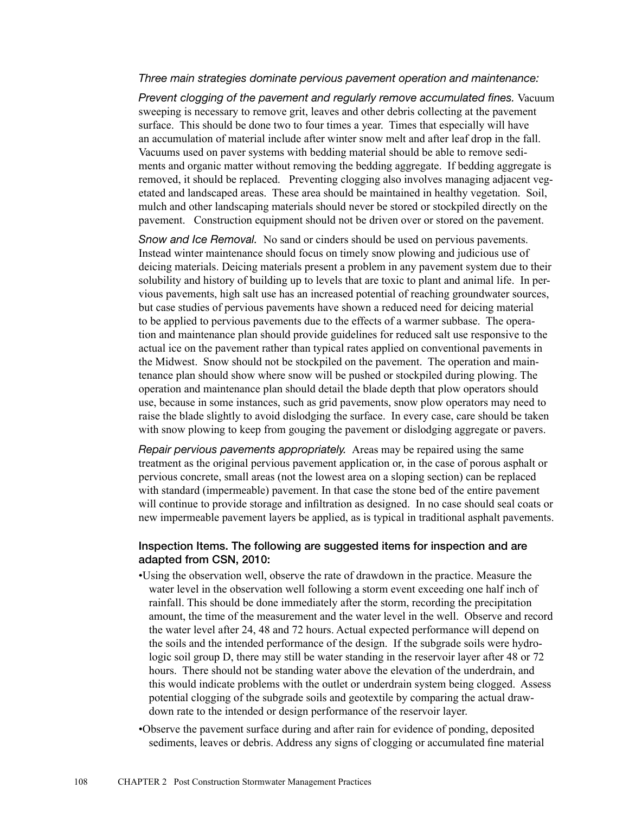### *Three main strategies dominate pervious pavement operation and maintenance:*

*Prevent clogging of the pavement and regularly remove accumulated fines.* Vacuum sweeping is necessary to remove grit, leaves and other debris collecting at the pavement surface. This should be done two to four times a year. Times that especially will have an accumulation of material include after winter snow melt and after leaf drop in the fall. Vacuums used on paver systems with bedding material should be able to remove sediments and organic matter without removing the bedding aggregate. If bedding aggregate is removed, it should be replaced. Preventing clogging also involves managing adjacent vegetated and landscaped areas. These area should be maintained in healthy vegetation. Soil, mulch and other landscaping materials should never be stored or stockpiled directly on the pavement. Construction equipment should not be driven over or stored on the pavement.

*Snow and Ice Removal.* No sand or cinders should be used on pervious pavements. Instead winter maintenance should focus on timely snow plowing and judicious use of deicing materials. Deicing materials present a problem in any pavement system due to their solubility and history of building up to levels that are toxic to plant and animal life. In pervious pavements, high salt use has an increased potential of reaching groundwater sources, but case studies of pervious pavements have shown a reduced need for deicing material to be applied to pervious pavements due to the effects of a warmer subbase. The operation and maintenance plan should provide guidelines for reduced salt use responsive to the actual ice on the pavement rather than typical rates applied on conventional pavements in the Midwest. Snow should not be stockpiled on the pavement. The operation and maintenance plan should show where snow will be pushed or stockpiled during plowing. The operation and maintenance plan should detail the blade depth that plow operators should use, because in some instances, such as grid pavements, snow plow operators may need to raise the blade slightly to avoid dislodging the surface. In every case, care should be taken with snow plowing to keep from gouging the pavement or dislodging aggregate or pavers.

*Repair pervious pavements appropriately.* Areas may be repaired using the same treatment as the original pervious pavement application or, in the case of porous asphalt or pervious concrete, small areas (not the lowest area on a sloping section) can be replaced with standard (impermeable) pavement. In that case the stone bed of the entire pavement will continue to provide storage and infiltration as designed. In no case should seal coats or new impermeable pavement layers be applied, as is typical in traditional asphalt pavements.

# Inspection Items. The following are suggested items for inspection and are adapted from CSN, 2010:

- •Using the observation well, observe the rate of drawdown in the practice. Measure the water level in the observation well following a storm event exceeding one half inch of rainfall. This should be done immediately after the storm, recording the precipitation amount, the time of the measurement and the water level in the well. Observe and record the water level after 24, 48 and 72 hours. Actual expected performance will depend on the soils and the intended performance of the design. If the subgrade soils were hydrologic soil group D, there may still be water standing in the reservoir layer after 48 or 72 hours. There should not be standing water above the elevation of the underdrain, and this would indicate problems with the outlet or underdrain system being clogged. Assess potential clogging of the subgrade soils and geotextile by comparing the actual drawdown rate to the intended or design performance of the reservoir layer.
- •Observe the pavement surface during and after rain for evidence of ponding, deposited sediments, leaves or debris. Address any signs of clogging or accumulated fine material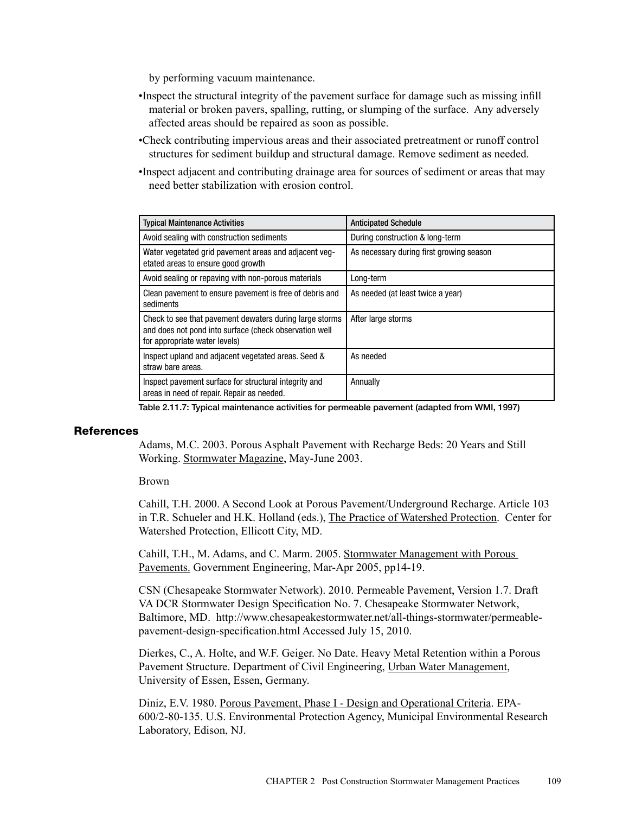by performing vacuum maintenance.

- •Inspect the structural integrity of the pavement surface for damage such as missing infill material or broken pavers, spalling, rutting, or slumping of the surface. Any adversely affected areas should be repaired as soon as possible.
- •Check contributing impervious areas and their associated pretreatment or runoff control structures for sediment buildup and structural damage. Remove sediment as needed.
- •Inspect adjacent and contributing drainage area for sources of sediment or areas that may need better stabilization with erosion control.

| <b>Typical Maintenance Activities</b>                                                                                                              | <b>Anticipated Schedule</b>              |
|----------------------------------------------------------------------------------------------------------------------------------------------------|------------------------------------------|
| Avoid sealing with construction sediments                                                                                                          | During construction & long-term          |
| Water vegetated grid pavement areas and adjacent veg-<br>etated areas to ensure good growth                                                        | As necessary during first growing season |
| Avoid sealing or repaving with non-porous materials                                                                                                | Long-term                                |
| Clean pavement to ensure pavement is free of debris and<br>sediments                                                                               | As needed (at least twice a year)        |
| Check to see that pavement dewaters during large storms<br>and does not pond into surface (check observation well<br>for appropriate water levels) | After large storms                       |
| Inspect upland and adjacent vegetated areas. Seed &<br>straw bare areas.                                                                           | As needed                                |
| Inspect pavement surface for structural integrity and<br>areas in need of repair. Repair as needed.                                                | Annually                                 |

Table 2.11.7: Typical maintenance activities for permeable pavement (adapted from WMI, 1997)

#### **References**

Adams, M.C. 2003. Porous Asphalt Pavement with Recharge Beds: 20 Years and Still Working. Stormwater Magazine, May-June 2003.

Brown

Cahill, T.H. 2000. A Second Look at Porous Pavement/Underground Recharge. Article 103 in T.R. Schueler and H.K. Holland (eds.), The Practice of Watershed Protection. Center for Watershed Protection, Ellicott City, MD.

Cahill, T.H., M. Adams, and C. Marm. 2005. Stormwater Management with Porous Pavements. Government Engineering, Mar-Apr 2005, pp14-19.

CSN (Chesapeake Stormwater Network). 2010. Permeable Pavement, Version 1.7. Draft VA DCR Stormwater Design Specification No. 7. Chesapeake Stormwater Network, Baltimore, MD. http://www.chesapeakestormwater.net/all-things-stormwater/permeablepavement-design-specification.html Accessed July 15, 2010.

Dierkes, C., A. Holte, and W.F. Geiger. No Date. Heavy Metal Retention within a Porous Pavement Structure. Department of Civil Engineering, Urban Water Management, University of Essen, Essen, Germany.

Diniz, E.V. 1980. Porous Pavement, Phase I - Design and Operational Criteria. EPA-600/2-80-135. U.S. Environmental Protection Agency, Municipal Environmental Research Laboratory, Edison, NJ.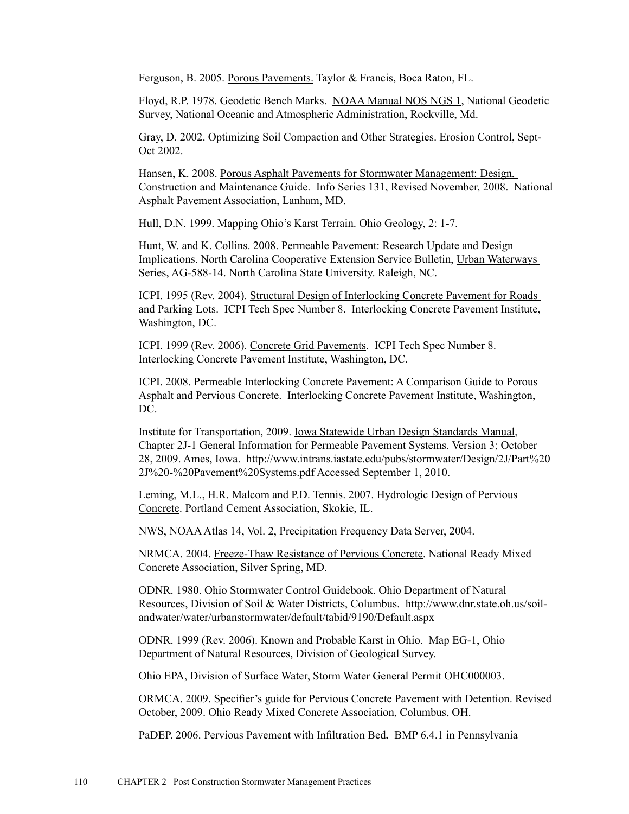Ferguson, B. 2005. Porous Pavements. Taylor & Francis, Boca Raton, FL.

Floyd, R.P. 1978. Geodetic Bench Marks. NOAA Manual NOS NGS 1, National Geodetic Survey, National Oceanic and Atmospheric Administration, Rockville, Md.

Gray, D. 2002. Optimizing Soil Compaction and Other Strategies. Erosion Control, Sept-Oct 2002.

Hansen, K. 2008. Porous Asphalt Pavements for Stormwater Management: Design, Construction and Maintenance Guide. Info Series 131, Revised November, 2008. National Asphalt Pavement Association, Lanham, MD.

Hull, D.N. 1999. Mapping Ohio's Karst Terrain. Ohio Geology, 2: 1-7.

Hunt, W. and K. Collins. 2008. Permeable Pavement: Research Update and Design Implications. North Carolina Cooperative Extension Service Bulletin, Urban Waterways Series, AG-588-14. North Carolina State University. Raleigh, NC.

ICPI. 1995 (Rev. 2004). Structural Design of Interlocking Concrete Pavement for Roads and Parking Lots. ICPI Tech Spec Number 8. Interlocking Concrete Pavement Institute, Washington, DC.

ICPI. 1999 (Rev. 2006). Concrete Grid Pavements. ICPI Tech Spec Number 8. Interlocking Concrete Pavement Institute, Washington, DC.

ICPI. 2008. Permeable Interlocking Concrete Pavement: A Comparison Guide to Porous Asphalt and Pervious Concrete. Interlocking Concrete Pavement Institute, Washington, DC.

Institute for Transportation, 2009. Iowa Statewide Urban Design Standards Manual, Chapter 2J-1 General Information for Permeable Pavement Systems. Version 3; October 28, 2009. Ames, Iowa. http://www.intrans.iastate.edu/pubs/stormwater/Design/2J/Part%20 2J%20-%20Pavement%20Systems.pdf Accessed September 1, 2010.

Leming, M.L., H.R. Malcom and P.D. Tennis. 2007. Hydrologic Design of Pervious Concrete. Portland Cement Association, Skokie, IL.

NWS, NOAA Atlas 14, Vol. 2, Precipitation Frequency Data Server, 2004.

NRMCA. 2004. Freeze-Thaw Resistance of Pervious Concrete. National Ready Mixed Concrete Association, Silver Spring, MD.

ODNR. 1980. Ohio Stormwater Control Guidebook. Ohio Department of Natural Resources, Division of Soil & Water Districts, Columbus. http://www.dnr.state.oh.us/soilandwater/water/urbanstormwater/default/tabid/9190/Default.aspx

ODNR. 1999 (Rev. 2006). Known and Probable Karst in Ohio. Map EG-1, Ohio Department of Natural Resources, Division of Geological Survey.

Ohio EPA, Division of Surface Water, Storm Water General Permit OHC000003.

ORMCA. 2009. Specifier's guide for Pervious Concrete Pavement with Detention. Revised October, 2009. Ohio Ready Mixed Concrete Association, Columbus, OH.

PaDEP. 2006. Pervious Pavement with Infiltration Bed**.** BMP 6.4.1 in Pennsylvania